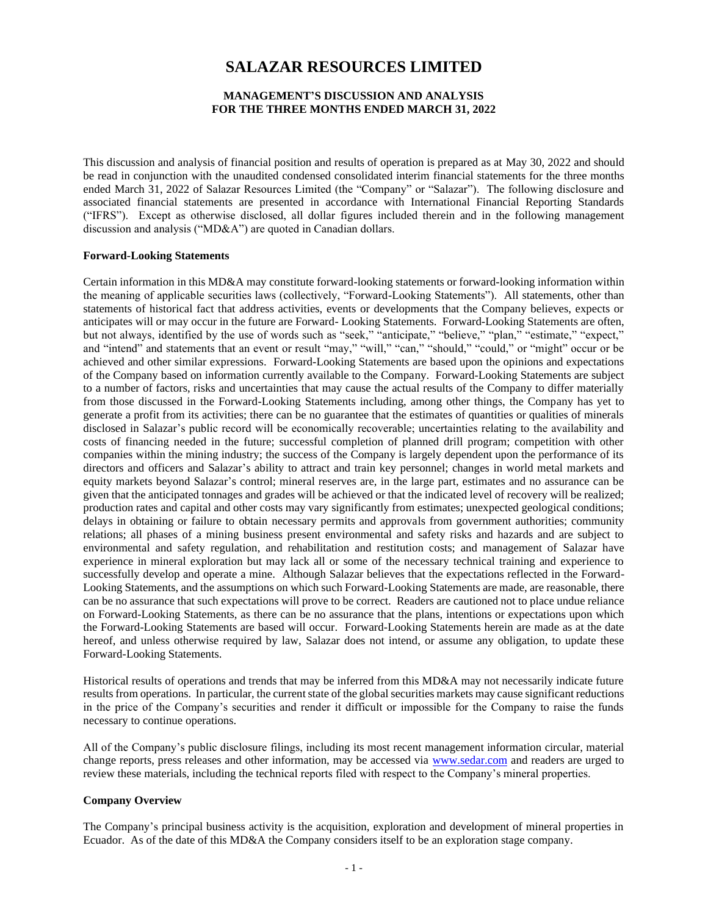# **SALAZAR RESOURCES LIMITED**

# **MANAGEMENT'S DISCUSSION AND ANALYSIS FOR THE THREE MONTHS ENDED MARCH 31, 2022**

This discussion and analysis of financial position and results of operation is prepared as at May 30, 2022 and should be read in conjunction with the unaudited condensed consolidated interim financial statements for the three months ended March 31, 2022 of Salazar Resources Limited (the "Company" or "Salazar"). The following disclosure and associated financial statements are presented in accordance with International Financial Reporting Standards ("IFRS"). Except as otherwise disclosed, all dollar figures included therein and in the following management discussion and analysis ("MD&A") are quoted in Canadian dollars.

#### **Forward-Looking Statements**

Certain information in this MD&A may constitute forward-looking statements or forward-looking information within the meaning of applicable securities laws (collectively, "Forward-Looking Statements"). All statements, other than statements of historical fact that address activities, events or developments that the Company believes, expects or anticipates will or may occur in the future are Forward- Looking Statements. Forward-Looking Statements are often, but not always, identified by the use of words such as "seek," "anticipate," "believe," "plan," "estimate," "expect," and "intend" and statements that an event or result "may," "will," "can," "should," "could," or "might" occur or be achieved and other similar expressions. Forward-Looking Statements are based upon the opinions and expectations of the Company based on information currently available to the Company. Forward-Looking Statements are subject to a number of factors, risks and uncertainties that may cause the actual results of the Company to differ materially from those discussed in the Forward-Looking Statements including, among other things, the Company has yet to generate a profit from its activities; there can be no guarantee that the estimates of quantities or qualities of minerals disclosed in Salazar's public record will be economically recoverable; uncertainties relating to the availability and costs of financing needed in the future; successful completion of planned drill program; competition with other companies within the mining industry; the success of the Company is largely dependent upon the performance of its directors and officers and Salazar's ability to attract and train key personnel; changes in world metal markets and equity markets beyond Salazar's control; mineral reserves are, in the large part, estimates and no assurance can be given that the anticipated tonnages and grades will be achieved or that the indicated level of recovery will be realized; production rates and capital and other costs may vary significantly from estimates; unexpected geological conditions; delays in obtaining or failure to obtain necessary permits and approvals from government authorities; community relations; all phases of a mining business present environmental and safety risks and hazards and are subject to environmental and safety regulation, and rehabilitation and restitution costs; and management of Salazar have experience in mineral exploration but may lack all or some of the necessary technical training and experience to successfully develop and operate a mine. Although Salazar believes that the expectations reflected in the Forward-Looking Statements, and the assumptions on which such Forward-Looking Statements are made, are reasonable, there can be no assurance that such expectations will prove to be correct. Readers are cautioned not to place undue reliance on Forward-Looking Statements, as there can be no assurance that the plans, intentions or expectations upon which the Forward-Looking Statements are based will occur. Forward-Looking Statements herein are made as at the date hereof, and unless otherwise required by law, Salazar does not intend, or assume any obligation, to update these Forward-Looking Statements.

Historical results of operations and trends that may be inferred from this MD&A may not necessarily indicate future results from operations. In particular, the current state of the global securities markets may cause significant reductions in the price of the Company's securities and render it difficult or impossible for the Company to raise the funds necessary to continue operations.

All of the Company's public disclosure filings, including its most recent management information circular, material change reports, press releases and other information, may be accessed via [www.sedar.com](http://www.sedar.com/) and readers are urged to review these materials, including the technical reports filed with respect to the Company's mineral properties.

#### **Company Overview**

The Company's principal business activity is the acquisition, exploration and development of mineral properties in Ecuador. As of the date of this MD&A the Company considers itself to be an exploration stage company.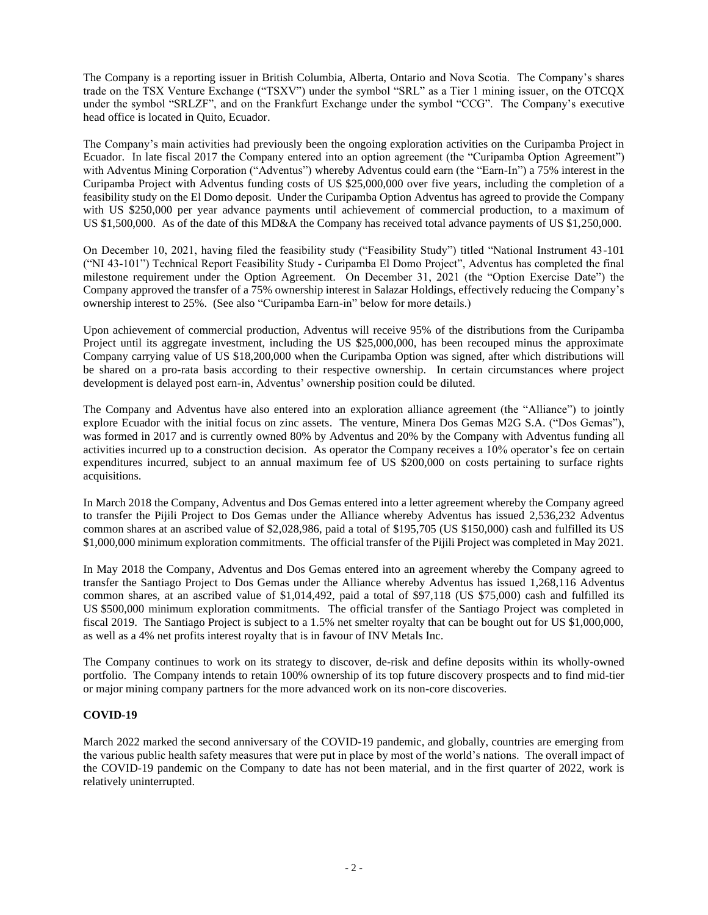The Company is a reporting issuer in British Columbia, Alberta, Ontario and Nova Scotia. The Company's shares trade on the TSX Venture Exchange ("TSXV") under the symbol "SRL" as a Tier 1 mining issuer, on the OTCQX under the symbol "SRLZF", and on the Frankfurt Exchange under the symbol "CCG". The Company's executive head office is located in Quito, Ecuador.

The Company's main activities had previously been the ongoing exploration activities on the Curipamba Project in Ecuador. In late fiscal 2017 the Company entered into an option agreement (the "Curipamba Option Agreement") with Adventus Mining Corporation ("Adventus") whereby Adventus could earn (the "Earn-In") a 75% interest in the Curipamba Project with Adventus funding costs of US \$25,000,000 over five years, including the completion of a feasibility study on the El Domo deposit. Under the Curipamba Option Adventus has agreed to provide the Company with US \$250,000 per year advance payments until achievement of commercial production, to a maximum of US \$1,500,000. As of the date of this MD&A the Company has received total advance payments of US \$1,250,000.

On December 10, 2021, having filed the feasibility study ("Feasibility Study") titled "National Instrument 43-101 ("NI 43-101") Technical Report Feasibility Study - Curipamba El Domo Project", Adventus has completed the final milestone requirement under the Option Agreement. On December 31, 2021 (the "Option Exercise Date") the Company approved the transfer of a 75% ownership interest in Salazar Holdings, effectively reducing the Company's ownership interest to 25%. (See also "Curipamba Earn-in" below for more details.)

Upon achievement of commercial production, Adventus will receive 95% of the distributions from the Curipamba Project until its aggregate investment, including the US \$25,000,000, has been recouped minus the approximate Company carrying value of US \$18,200,000 when the Curipamba Option was signed, after which distributions will be shared on a pro-rata basis according to their respective ownership. In certain circumstances where project development is delayed post earn-in, Adventus' ownership position could be diluted.

The Company and Adventus have also entered into an exploration alliance agreement (the "Alliance") to jointly explore Ecuador with the initial focus on zinc assets. The venture, Minera Dos Gemas M2G S.A. ("Dos Gemas"), was formed in 2017 and is currently owned 80% by Adventus and 20% by the Company with Adventus funding all activities incurred up to a construction decision. As operator the Company receives a 10% operator's fee on certain expenditures incurred, subject to an annual maximum fee of US \$200,000 on costs pertaining to surface rights acquisitions.

In March 2018 the Company, Adventus and Dos Gemas entered into a letter agreement whereby the Company agreed to transfer the Pijili Project to Dos Gemas under the Alliance whereby Adventus has issued 2,536,232 Adventus common shares at an ascribed value of \$2,028,986, paid a total of \$195,705 (US \$150,000) cash and fulfilled its US \$1,000,000 minimum exploration commitments. The official transfer of the Pijili Project was completed in May 2021.

In May 2018 the Company, Adventus and Dos Gemas entered into an agreement whereby the Company agreed to transfer the Santiago Project to Dos Gemas under the Alliance whereby Adventus has issued 1,268,116 Adventus common shares, at an ascribed value of \$1,014,492, paid a total of \$97,118 (US \$75,000) cash and fulfilled its US \$500,000 minimum exploration commitments. The official transfer of the Santiago Project was completed in fiscal 2019. The Santiago Project is subject to a 1.5% net smelter royalty that can be bought out for US \$1,000,000, as well as a 4% net profits interest royalty that is in favour of INV Metals Inc.

The Company continues to work on its strategy to discover, de-risk and define deposits within its wholly-owned portfolio. The Company intends to retain 100% ownership of its top future discovery prospects and to find mid-tier or major mining company partners for the more advanced work on its non-core discoveries.

# **COVID-19**

March 2022 marked the second anniversary of the COVID-19 pandemic, and globally, countries are emerging from the various public health safety measures that were put in place by most of the world's nations. The overall impact of the COVID-19 pandemic on the Company to date has not been material, and in the first quarter of 2022, work is relatively uninterrupted.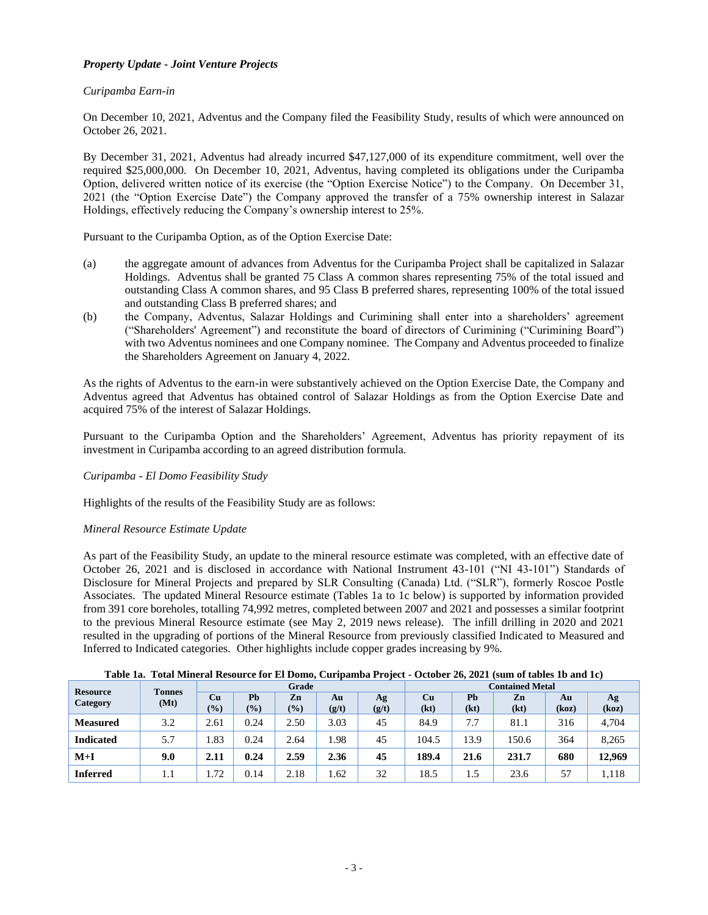# *Property Update - Joint Venture Projects*

# *Curipamba Earn-in*

On December 10, 2021, Adventus and the Company filed the Feasibility Study, results of which were announced on October 26, 2021.

By December 31, 2021, Adventus had already incurred \$47,127,000 of its expenditure commitment, well over the required \$25,000,000. On December 10, 2021, Adventus, having completed its obligations under the Curipamba Option, delivered written notice of its exercise (the "Option Exercise Notice") to the Company. On December 31, 2021 (the "Option Exercise Date") the Company approved the transfer of a 75% ownership interest in Salazar Holdings, effectively reducing the Company's ownership interest to 25%.

Pursuant to the Curipamba Option, as of the Option Exercise Date:

- (a) the aggregate amount of advances from Adventus for the Curipamba Project shall be capitalized in Salazar Holdings. Adventus shall be granted 75 Class A common shares representing 75% of the total issued and outstanding Class A common shares, and 95 Class B preferred shares, representing 100% of the total issued and outstanding Class B preferred shares; and
- (b) the Company, Adventus, Salazar Holdings and Curimining shall enter into a shareholders' agreement ("Shareholders' Agreement") and reconstitute the board of directors of Curimining ("Curimining Board") with two Adventus nominees and one Company nominee. The Company and Adventus proceeded to finalize the Shareholders Agreement on January 4, 2022.

As the rights of Adventus to the earn-in were substantively achieved on the Option Exercise Date, the Company and Adventus agreed that Adventus has obtained control of Salazar Holdings as from the Option Exercise Date and acquired 75% of the interest of Salazar Holdings.

Pursuant to the Curipamba Option and the Shareholders' Agreement, Adventus has priority repayment of its investment in Curipamba according to an agreed distribution formula.

# *Curipamba - El Domo Feasibility Study*

Highlights of the results of the Feasibility Study are as follows:

#### *Mineral Resource Estimate Update*

As part of the Feasibility Study, an update to the mineral resource estimate was completed, with an effective date of October 26, 2021 and is disclosed in accordance with National Instrument 43-101 ("NI 43-101") Standards of Disclosure for Mineral Projects and prepared by SLR Consulting (Canada) Ltd. ("SLR"), formerly Roscoe Postle Associates. The updated Mineral Resource estimate (Tables 1a to 1c below) is supported by information provided from 391 core boreholes, totalling 74,992 metres, completed between 2007 and 2021 and possesses a similar footprint to the previous Mineral Resource estimate (see May 2, 2019 news release). The infill drilling in 2020 and 2021 resulted in the upgrading of portions of the Mineral Resource from previously classified Indicated to Measured and Inferred to Indicated categories. Other highlights include copper grades increasing by 9%.

| <b>Resource</b>  | <b>Tonnes</b> | Grade       |           |             |             |                   | <b>Contained Metal</b> |            |             |             |        |
|------------------|---------------|-------------|-----------|-------------|-------------|-------------------|------------------------|------------|-------------|-------------|--------|
| (Mt)<br>Category | Cu<br>(%)     | Pb<br>(9/0) | Zn<br>(%) | Au<br>(g/t) | Ag<br>(g/t) | <b>Cu</b><br>(kt) | Ph<br>(kt)             | Zn<br>(kt) | Au<br>(koz) | Ag<br>(koz) |        |
| <b>Measured</b>  | 3.2           | 2.61        | 0.24      | 2.50        | 3.03        | 45                | 84.9                   | 7.7        | 81.1        | 316         | 4,704  |
| <b>Indicated</b> | 5.7           | 1.83        | 0.24      | 2.64        | .98         | 45                | 104.5                  | 13.9       | 150.6       | 364         | 8,265  |
| $M+I$            | 9.0           | 2.11        | 0.24      | 2.59        | 2.36        | 45                | 189.4                  | 21.6       | 231.7       | 680         | 12,969 |
| <b>Inferred</b>  | 1.1           | 1.72        | 0.14      | 2.18        | 1.62        | 32                | 18.5                   | 1.5        | 23.6        | 57          | 1,118  |

| Table 1a.  Total Mineral Resource for El Domo, Curipamba Project - October 26, 2021 (sum of tables 1b and 1c) |  |  |
|---------------------------------------------------------------------------------------------------------------|--|--|
|                                                                                                               |  |  |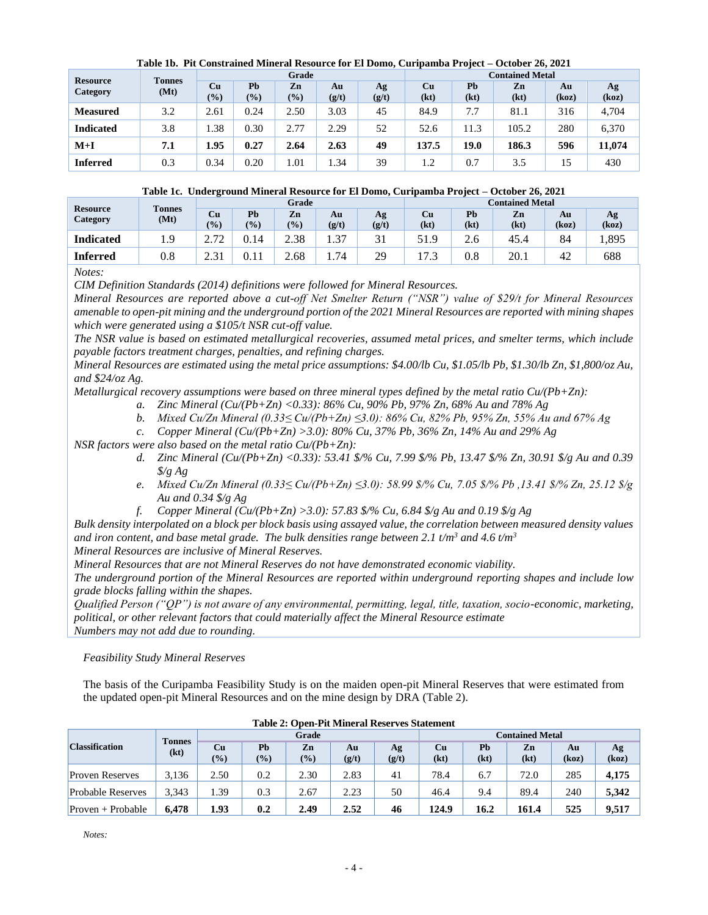|                             | <b>Tonnes</b> | Grade        |                     |           |             |             | <b>Contained Metal</b> |            |            |             |             |
|-----------------------------|---------------|--------------|---------------------|-----------|-------------|-------------|------------------------|------------|------------|-------------|-------------|
| <b>Resource</b><br>Category | (Mt)          | Cu<br>$(\%)$ | Pb<br>$\frac{1}{2}$ | Zn<br>(%) | Au<br>(g/t) | Ag<br>(g/t) | Cu<br>(kt)             | Pb<br>(kt) | Zn<br>(kt) | Au<br>(koz) | Ag<br>(koz) |
| <b>Measured</b>             | 3.2           | 2.61         | 0.24                | 2.50      | 3.03        | 45          | 84.9                   | 7.7        | 81.1       | 316         | 4,704       |
| <b>Indicated</b>            | 3.8           | .38          | 0.30                | 2.77      | 2.29        | 52          | 52.6                   | 11.3       | 105.2      | 280         | 6,370       |
| $M+I$                       | 7.1           | 1.95         | 0.27                | 2.64      | 2.63        | 49          | 137.5                  | 19.0       | 186.3      | 596         | 11,074      |
| <b>Inferred</b>             | 0.3           | 0.34         | 0.20                | 1.01      | . . 34      | 39          | 1.2                    | 0.7        | 3.5        | 15          | 430         |

**Table 1b. Pit Constrained Mineral Resource for El Domo, Curipamba Project – October 26, 2021**

# **Table 1c. Underground Mineral Resource for El Domo, Curipamba Project – October 26, 2021**

| <b>Resource</b>  | <b>Tonnes</b> | Grade              |             |           |             | <b>Contained Metal</b> |                       |               |            |             |             |
|------------------|---------------|--------------------|-------------|-----------|-------------|------------------------|-----------------------|---------------|------------|-------------|-------------|
| Category         | (Mt)          | Cu<br>(%)          | Pb<br>(0/0) | Zn<br>(%) | Au<br>(g/t) | Аg<br>(g/t)            | Cu<br>(kt)            | Pb<br>(kt)    | Zn<br>(kt) | Au<br>(koz) | Ag<br>(koz) |
| <b>Indicated</b> | Q             | $\Omega$ 70<br>، ، | 0.14        | 2.38      | 37<br>ر د   | $\sim$                 | $\Omega$              | $\sim$<br>2.6 | 45.4       | 84          | .,895       |
| Inferred         | 0.8           | $\mathbf{r}$<br>ر  | V.II        | 2.68      | .74         | 29                     | $\overline{ }$<br>ن ، | $0.8\,$       | 20.1       | 42          | 688         |

*Notes:*

*CIM Definition Standards (2014) definitions were followed for Mineral Resources.*

*Mineral Resources are reported above a cut-off Net Smelter Return ("NSR") value of \$29/t for Mineral Resources amenable to open-pit mining and the underground portion of the 2021 Mineral Resources are reported with mining shapes which were generated using a \$105/t NSR cut-off value.*

*The NSR value is based on estimated metallurgical recoveries, assumed metal prices, and smelter terms, which include payable factors treatment charges, penalties, and refining charges.*

*Mineral Resources are estimated using the metal price assumptions: \$4.00/lb Cu, \$1.05/lb Pb, \$1.30/lb Zn, \$1,800/oz Au, and \$24/oz Ag.*

*Metallurgical recovery assumptions were based on three mineral types defined by the metal ratio Cu/(Pb+Zn):*

- *a. Zinc Mineral (Cu/(Pb+Zn) <0.33): 86% Cu, 90% Pb, 97% Zn, 68% Au and 78% Ag*
- *b. Mixed Cu/Zn Mineral (0.33≤ Cu/(Pb+Zn) ≤3.0): 86% Cu, 82% Pb, 95% Zn, 55% Au and 67% Ag*
- *c. Copper Mineral (Cu/(Pb+Zn) >3.0): 80% Cu, 37% Pb, 36% Zn, 14% Au and 29% Ag*

*NSR factors were also based on the metal ratio Cu/(Pb+Zn):*

- *d. Zinc Mineral (Cu/(Pb+Zn) <0.33): 53.41 \$/% Cu, 7.99 \$/% Pb, 13.47 \$/% Zn, 30.91 \$/g Au and 0.39 \$/g Ag*
- *e. Mixed Cu/Zn Mineral (0.33≤ Cu/(Pb+Zn) ≤3.0): 58.99 \$/% Cu, 7.05 \$/% Pb ,13.41 \$/% Zn, 25.12 \$/g Au and 0.34 \$/g Ag*
- *f. Copper Mineral (Cu/(Pb+Zn) >3.0): 57.83 \$/% Cu, 6.84 \$/g Au and 0.19 \$/g Ag*

*Bulk density interpolated on a block per block basis using assayed value, the correlation between measured density values and iron content, and base metal grade. The bulk densities range between 2.1 t/m<sup>3</sup> and 4.6 t/m<sup>3</sup> Mineral Resources are inclusive of Mineral Reserves.*

*Mineral Resources that are not Mineral Reserves do not have demonstrated economic viability.*

*The underground portion of the Mineral Resources are reported within underground reporting shapes and include low grade blocks falling within the shapes.*

*Qualified Person ("QP") is not aware of any environmental, permitting, legal, title, taxation, socio-economic, marketing, political, or other relevant factors that could materially affect the Mineral Resource estimate Numbers may not add due to rounding.*

*Feasibility Study Mineral Reserves*

The basis of the Curipamba Feasibility Study is on the maiden open-pit Mineral Reserves that were estimated from the updated open-pit Mineral Resources and on the mine design by DRA (Table 2).

|                          |                       | Grade               |             |                     |             |             | <b>Contained Metal</b> |            |            |             |             |
|--------------------------|-----------------------|---------------------|-------------|---------------------|-------------|-------------|------------------------|------------|------------|-------------|-------------|
| <b>Classification</b>    | <b>Tonnes</b><br>(kt) | Cu<br>$\frac{1}{2}$ | Pb<br>(9/0) | Zn<br>$\frac{1}{2}$ | Au<br>(g/t) | Ag<br>(g/t) | Cu<br>(kt)             | Pb<br>(kt) | Zn<br>(kt) | Au<br>(koz) | Ag<br>(koz) |
| <b>Proven Reserves</b>   | 3,136                 | 2.50                | 0.2         | 2.30                | 2.83        | 41          | 78.4                   | 6.7        | 72.0       | 285         | 4,175       |
| <b>Probable Reserves</b> | 3.343                 | . 39                | 0.3         | 2.67                | 2.23        | 50          | 46.4                   | 9.4        | 89.4       | 240         | 5.342       |
| $Proven + Probable$      | 6.478                 | 1.93                | 0.2         | 2.49                | 2.52        | 46          | 124.9                  | 16.2       | 161.4      | 525         | 9.517       |

|  |  | Table 2: Open-Pit Mineral Reserves Statement |
|--|--|----------------------------------------------|
|  |  |                                              |

*Notes:*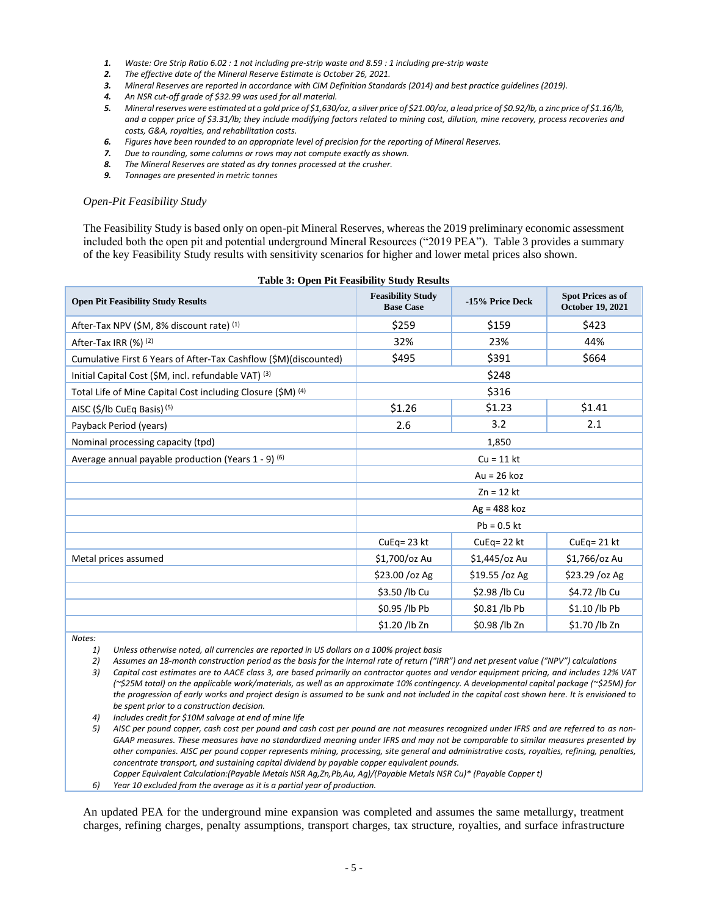- *1. Waste: Ore Strip Ratio 6.02 : 1 not including pre-strip waste and 8.59 : 1 including pre-strip waste*
- *2. The effective date of the Mineral Reserve Estimate is October 26, 2021.*
- *3. Mineral Reserves are reported in accordance with CIM Definition Standards (2014) and best practice guidelines (2019).*
- *4. An NSR cut-off grade of \$32.99 was used for all material.*
- *5. Mineral reserves were estimated at a gold price of \$1,630/oz, a silver price of \$21.00/oz, a lead price of \$0.92/lb, a zinc price of \$1.16/lb, and a copper price of \$3.31/lb; they include modifying factors related to mining cost, dilution, mine recovery, process recoveries and costs, G&A, royalties, and rehabilitation costs.*
- *6. Figures have been rounded to an appropriate level of precision for the reporting of Mineral Reserves.*
- *7. Due to rounding, some columns or rows may not compute exactly as shown.*
- *8. The Mineral Reserves are stated as dry tonnes processed at the crusher.*
- *9. Tonnages are presented in metric tonnes*

#### *Open-Pit Feasibility Study*

The Feasibility Study is based only on open-pit Mineral Reserves, whereas the 2019 preliminary economic assessment included both the open pit and potential underground Mineral Resources ("2019 PEA"). Table 3 provides a summary of the key Feasibility Study results with sensitivity scenarios for higher and lower metal prices also shown.

| <b>Open Pit Feasibility Study Results</b>                              | <b>Feasibility Study</b><br><b>Base Case</b> | -15% Price Deck | <b>Spot Prices as of</b><br><b>October 19, 2021</b> |
|------------------------------------------------------------------------|----------------------------------------------|-----------------|-----------------------------------------------------|
| After-Tax NPV (\$M, 8% discount rate) (1)                              | \$259                                        | \$159           | \$423                                               |
| After-Tax IRR (%) (2)                                                  | 32%                                          | 23%             | 44%                                                 |
| Cumulative First 6 Years of After-Tax Cashflow (\$M)(discounted)       | \$495                                        | \$391           | \$664                                               |
| Initial Capital Cost (\$M, incl. refundable VAT) (3)                   |                                              | \$248           |                                                     |
| Total Life of Mine Capital Cost including Closure (\$M) <sup>(4)</sup> |                                              | \$316           |                                                     |
| AISC (\$/lb CuEq Basis) (5)                                            | \$1.26                                       | \$1.23          | \$1.41                                              |
| Payback Period (years)                                                 | 2.6                                          | 3.2             | 2.1                                                 |
| Nominal processing capacity (tpd)                                      |                                              | 1,850           |                                                     |
| Average annual payable production (Years 1 - 9) (6)                    |                                              | $Cu = 11$ kt    |                                                     |
|                                                                        |                                              | $Au = 26 koz$   |                                                     |
|                                                                        |                                              | $Zn = 12$ kt    |                                                     |
|                                                                        |                                              | $Ag = 488$ koz  |                                                     |
|                                                                        |                                              | $Pb = 0.5$ kt   |                                                     |
|                                                                        | $CuEq= 23 kt$                                | CuEq= 22 kt     | CuEq= 21 kt                                         |
| Metal prices assumed                                                   | \$1,700/oz Au                                | \$1,445/oz Au   | \$1,766/oz Au                                       |
|                                                                        | \$23.00 /oz Ag                               | \$19.55 /oz Ag  | \$23.29 / oz Ag                                     |
|                                                                        | \$3.50 /lb Cu                                | \$2.98 /lb Cu   | \$4.72 /lb Cu                                       |
|                                                                        | \$0.95 /lb Pb                                | \$0.81 /lb Pb   | \$1.10 /lb Pb                                       |
|                                                                        | \$1.20 /lb Zn                                | \$0.98 /lb Zn   | \$1.70 /lb Zn                                       |

#### **Table 3: Open Pit Feasibility Study Results**

*Notes:*

*1) Unless otherwise noted, all currencies are reported in US dollars on a 100% project basis*

*2) Assumes an 18-month construction period as the basis for the internal rate of return ("IRR") and net present value ("NPV") calculations 3) Capital cost estimates are to AACE class 3, are based primarily on contractor quotes and vendor equipment pricing, and includes 12% VAT (~\$25M total) on the applicable work/materials, as well as an approximate 10% contingency. A developmental capital package (~\$25M) for the progression of early works and project design is assumed to be sunk and not included in the capital cost shown here. It is envisioned to be spent prior to a construction decision.*

*4) Includes credit for \$10M salvage at end of mine life*

*5) AISC per pound copper, cash cost per pound and cash cost per pound are not measures recognized under IFRS and are referred to as non-GAAP measures. These measures have no standardized meaning under IFRS and may not be comparable to similar measures presented by other companies. AISC per pound copper represents mining, processing, site general and administrative costs, royalties, refining, penalties, concentrate transport, and sustaining capital dividend by payable copper equivalent pounds.*

*Copper Equivalent Calculation:(Payable Metals NSR Ag,Zn,Pb,Au, Ag)/(Payable Metals NSR Cu)\* (Payable Copper t)*

*6) Year 10 excluded from the average as it is a partial year of production.*

An updated PEA for the underground mine expansion was completed and assumes the same metallurgy, treatment charges, refining charges, penalty assumptions, transport charges, tax structure, royalties, and surface infrastructure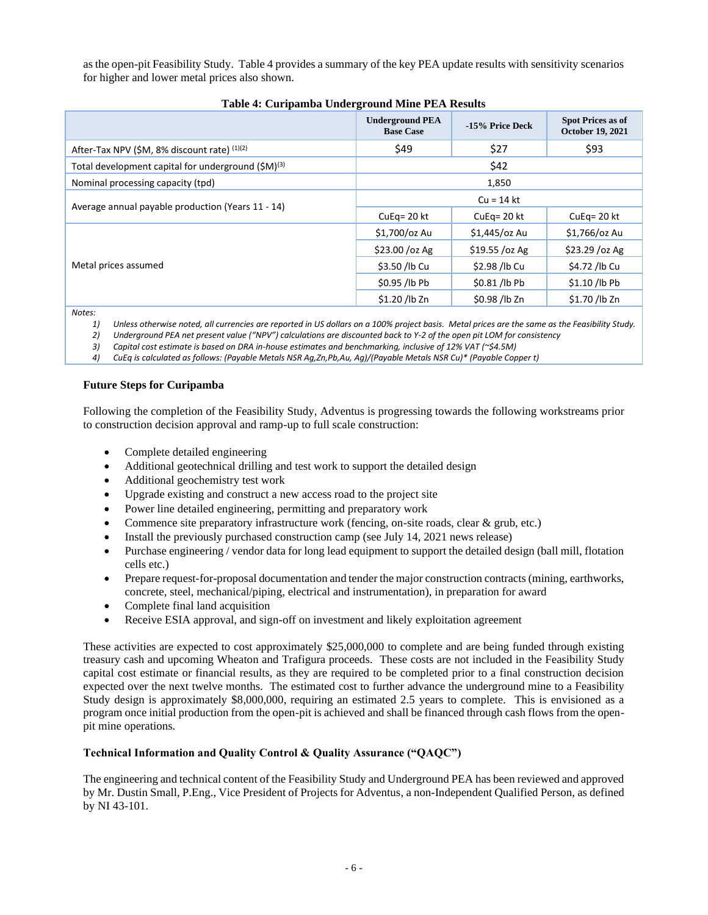as the open-pit Feasibility Study. Table 4 provides a summary of the key PEA update results with sensitivity scenarios for higher and lower metal prices also shown.

|                                                                | <b>Underground PEA</b><br><b>Base Case</b> | -15% Price Deck | <b>Spot Prices as of</b><br><b>October 19, 2021</b> |  |  |  |  |
|----------------------------------------------------------------|--------------------------------------------|-----------------|-----------------------------------------------------|--|--|--|--|
| After-Tax NPV (\$M, 8% discount rate) (1)(2)                   | \$49                                       | \$27            | \$93                                                |  |  |  |  |
| Total development capital for underground (\$M) <sup>(3)</sup> |                                            | \$42            |                                                     |  |  |  |  |
| Nominal processing capacity (tpd)                              |                                            | 1,850           |                                                     |  |  |  |  |
| Average annual payable production (Years 11 - 14)              | $Cu = 14$ kt                               |                 |                                                     |  |  |  |  |
|                                                                | $CuEq=20$ kt                               | $CuEq = 20$ kt  | $CuEq = 20$ kt                                      |  |  |  |  |
|                                                                | \$1,700/oz Au                              | \$1,445/oz Au   | \$1,766/oz Au                                       |  |  |  |  |
|                                                                | \$23.00 / oz Ag                            | \$19.55 /oz Ag  | \$23.29 / oz Ag                                     |  |  |  |  |
| Metal prices assumed                                           | \$3.50 /lb Cu                              | \$2.98 /lb Cu   | \$4.72 /lb Cu                                       |  |  |  |  |
|                                                                | \$0.95 /lb Pb                              | \$0.81 /lb Pb   | \$1.10 /lb Pb                                       |  |  |  |  |
|                                                                | \$1.20 /lb Zn                              | \$0.98 /lb Zn   | \$1.70 /lb Zn                                       |  |  |  |  |

# **Table 4: Curipamba Underground Mine PEA Results**

*Notes:*

*1) Unless otherwise noted, all currencies are reported in US dollars on a 100% project basis. Metal prices are the same as the Feasibility Study.*

*2) Underground PEA net present value ("NPV") calculations are discounted back to Y-2 of the open pit LOM for consistency*

*3) Capital cost estimate is based on DRA in-house estimates and benchmarking, inclusive of 12% VAT (~\$4.5M)*

*4) CuEq is calculated as follows: (Payable Metals NSR Ag,Zn,Pb,Au, Ag)/(Payable Metals NSR Cu)\* (Payable Copper t)*

#### **Future Steps for Curipamba**

Following the completion of the Feasibility Study, Adventus is progressing towards the following workstreams prior to construction decision approval and ramp-up to full scale construction:

- Complete detailed engineering
- Additional geotechnical drilling and test work to support the detailed design
- Additional geochemistry test work
- Upgrade existing and construct a new access road to the project site
- Power line detailed engineering, permitting and preparatory work
- Commence site preparatory infrastructure work (fencing, on-site roads, clear & grub, etc.)
- Install the previously purchased construction camp (see July 14, 2021 news release)
- Purchase engineering / vendor data for long lead equipment to support the detailed design (ball mill, flotation cells etc.)
- Prepare request-for-proposal documentation and tender the major construction contracts (mining, earthworks, concrete, steel, mechanical/piping, electrical and instrumentation), in preparation for award
- Complete final land acquisition
- Receive ESIA approval, and sign-off on investment and likely exploitation agreement

These activities are expected to cost approximately \$25,000,000 to complete and are being funded through existing treasury cash and upcoming Wheaton and Trafigura proceeds. These costs are not included in the Feasibility Study capital cost estimate or financial results, as they are required to be completed prior to a final construction decision expected over the next twelve months. The estimated cost to further advance the underground mine to a Feasibility Study design is approximately \$8,000,000, requiring an estimated 2.5 years to complete. This is envisioned as a program once initial production from the open-pit is achieved and shall be financed through cash flows from the openpit mine operations.

# **Technical Information and Quality Control & Quality Assurance ("QAQC")**

The engineering and technical content of the Feasibility Study and Underground PEA has been reviewed and approved by Mr. Dustin Small, P.Eng., Vice President of Projects for Adventus, a non-Independent Qualified Person, as defined by NI 43-101.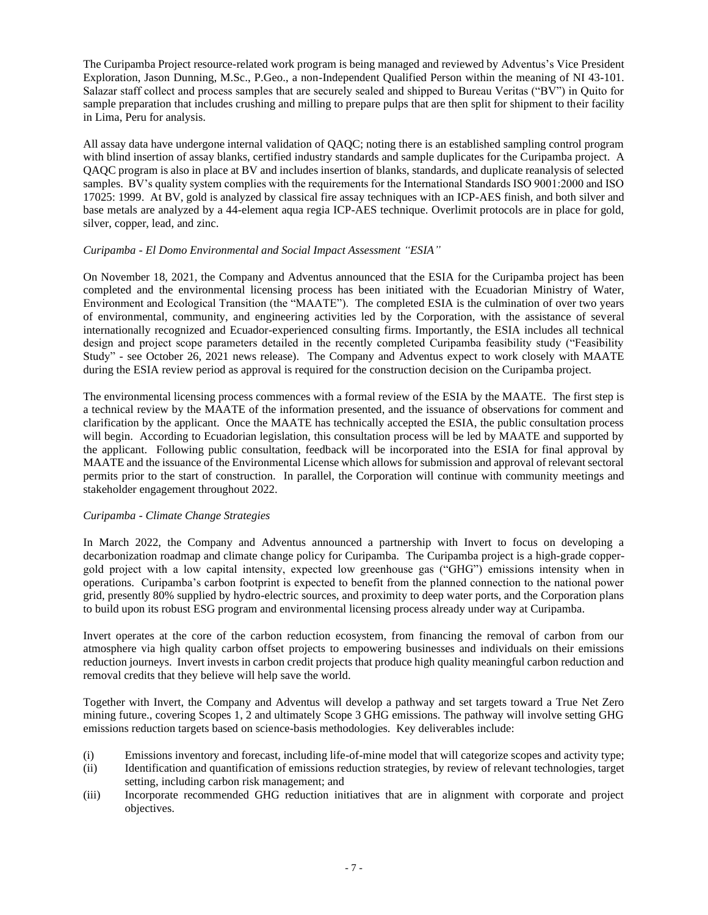The Curipamba Project resource-related work program is being managed and reviewed by Adventus's Vice President Exploration, Jason Dunning, M.Sc., P.Geo., a non-Independent Qualified Person within the meaning of NI 43-101. Salazar staff collect and process samples that are securely sealed and shipped to Bureau Veritas ("BV") in Quito for sample preparation that includes crushing and milling to prepare pulps that are then split for shipment to their facility in Lima, Peru for analysis.

All assay data have undergone internal validation of QAQC; noting there is an established sampling control program with blind insertion of assay blanks, certified industry standards and sample duplicates for the Curipamba project. A QAQC program is also in place at BV and includes insertion of blanks, standards, and duplicate reanalysis of selected samples. BV's quality system complies with the requirements for the International Standards ISO 9001:2000 and ISO 17025: 1999. At BV, gold is analyzed by classical fire assay techniques with an ICP-AES finish, and both silver and base metals are analyzed by a 44-element aqua regia ICP-AES technique. Overlimit protocols are in place for gold, silver, copper, lead, and zinc.

# *Curipamba - El Domo Environmental and Social Impact Assessment "ESIA"*

On November 18, 2021, the Company and Adventus announced that the ESIA for the Curipamba project has been completed and the environmental licensing process has been initiated with the Ecuadorian Ministry of Water, Environment and Ecological Transition (the "MAATE"). The completed ESIA is the culmination of over two years of environmental, community, and engineering activities led by the Corporation, with the assistance of several internationally recognized and Ecuador-experienced consulting firms. Importantly, the ESIA includes all technical design and project scope parameters detailed in the recently completed Curipamba feasibility study ("Feasibility Study" - see October 26, 2021 news release). The Company and Adventus expect to work closely with MAATE during the ESIA review period as approval is required for the construction decision on the Curipamba project.

The environmental licensing process commences with a formal review of the ESIA by the MAATE. The first step is a technical review by the MAATE of the information presented, and the issuance of observations for comment and clarification by the applicant. Once the MAATE has technically accepted the ESIA, the public consultation process will begin. According to Ecuadorian legislation, this consultation process will be led by MAATE and supported by the applicant. Following public consultation, feedback will be incorporated into the ESIA for final approval by MAATE and the issuance of the Environmental License which allows for submission and approval of relevant sectoral permits prior to the start of construction. In parallel, the Corporation will continue with community meetings and stakeholder engagement throughout 2022.

# *Curipamba - Climate Change Strategies*

In March 2022, the Company and Adventus announced a partnership with Invert to focus on developing a decarbonization roadmap and climate change policy for Curipamba. The Curipamba project is a high-grade coppergold project with a low capital intensity, expected low greenhouse gas ("GHG") emissions intensity when in operations. Curipamba's carbon footprint is expected to benefit from the planned connection to the national power grid, presently 80% supplied by hydro-electric sources, and proximity to deep water ports, and the Corporation plans to build upon its robust ESG program and environmental licensing process already under way at Curipamba.

Invert operates at the core of the carbon reduction ecosystem, from financing the removal of carbon from our atmosphere via high quality carbon offset projects to empowering businesses and individuals on their emissions reduction journeys. Invert invests in carbon credit projects that produce high quality meaningful carbon reduction and removal credits that they believe will help save the world.

Together with Invert, the Company and Adventus will develop a pathway and set targets toward a True Net Zero mining future., covering Scopes 1, 2 and ultimately Scope 3 GHG emissions. The pathway will involve setting GHG emissions reduction targets based on science-basis methodologies. Key deliverables include:

- (i) Emissions inventory and forecast, including life-of-mine model that will categorize scopes and activity type;
- (ii) Identification and quantification of emissions reduction strategies, by review of relevant technologies, target setting, including carbon risk management; and
- (iii) Incorporate recommended GHG reduction initiatives that are in alignment with corporate and project objectives.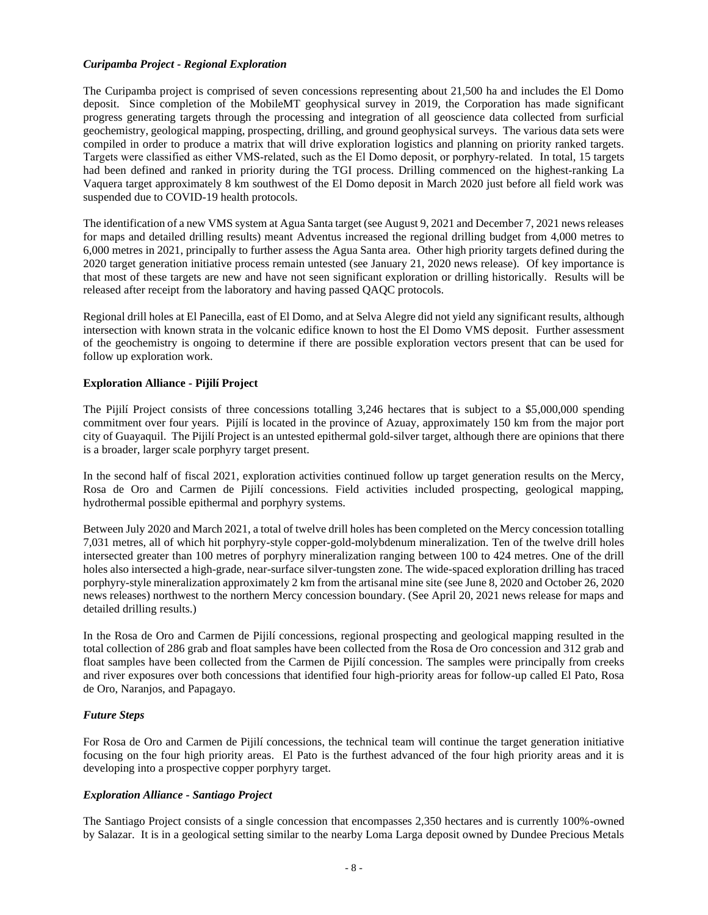# *Curipamba Project - Regional Exploration*

The Curipamba project is comprised of seven concessions representing about 21,500 ha and includes the El Domo deposit. Since completion of the MobileMT geophysical survey in 2019, the Corporation has made significant progress generating targets through the processing and integration of all geoscience data collected from surficial geochemistry, geological mapping, prospecting, drilling, and ground geophysical surveys. The various data sets were compiled in order to produce a matrix that will drive exploration logistics and planning on priority ranked targets. Targets were classified as either VMS-related, such as the El Domo deposit, or porphyry-related. In total, 15 targets had been defined and ranked in priority during the TGI process. Drilling commenced on the highest-ranking La Vaquera target approximately 8 km southwest of the El Domo deposit in March 2020 just before all field work was suspended due to COVID-19 health protocols.

The identification of a new VMS system at Agua Santa target (see August 9, 2021 and December 7, 2021 news releases for maps and detailed drilling results) meant Adventus increased the regional drilling budget from 4,000 metres to 6,000 metres in 2021, principally to further assess the Agua Santa area. Other high priority targets defined during the 2020 target generation initiative process remain untested (see January 21, 2020 news release). Of key importance is that most of these targets are new and have not seen significant exploration or drilling historically. Results will be released after receipt from the laboratory and having passed QAQC protocols.

Regional drill holes at El Panecilla, east of El Domo, and at Selva Alegre did not yield any significant results, although intersection with known strata in the volcanic edifice known to host the El Domo VMS deposit. Further assessment of the geochemistry is ongoing to determine if there are possible exploration vectors present that can be used for follow up exploration work.

#### **Exploration Alliance - Pijilí Project**

The Pijilí Project consists of three concessions totalling 3,246 hectares that is subject to a \$5,000,000 spending commitment over four years. Pijilí is located in the province of Azuay, approximately 150 km from the major port city of Guayaquil. The Pijilí Project is an untested epithermal gold-silver target, although there are opinions that there is a broader, larger scale porphyry target present.

In the second half of fiscal 2021, exploration activities continued follow up target generation results on the Mercy, Rosa de Oro and Carmen de Pijilí concessions. Field activities included prospecting, geological mapping, hydrothermal possible epithermal and porphyry systems.

Between July 2020 and March 2021, a total of twelve drill holes has been completed on the Mercy concession totalling 7,031 metres, all of which hit porphyry-style copper-gold-molybdenum mineralization. Ten of the twelve drill holes intersected greater than 100 metres of porphyry mineralization ranging between 100 to 424 metres. One of the drill holes also intersected a high-grade, near-surface silver-tungsten zone. The wide-spaced exploration drilling has traced porphyry-style mineralization approximately 2 km from the artisanal mine site (see June 8, 2020 and October 26, 2020 news releases) northwest to the northern Mercy concession boundary. (See April 20, 2021 news release for maps and detailed drilling results.)

In the Rosa de Oro and Carmen de Pijilí concessions, regional prospecting and geological mapping resulted in the total collection of 286 grab and float samples have been collected from the Rosa de Oro concession and 312 grab and float samples have been collected from the Carmen de Pijilí concession. The samples were principally from creeks and river exposures over both concessions that identified four high-priority areas for follow-up called El Pato, Rosa de Oro, Naranjos, and Papagayo.

# *Future Steps*

For Rosa de Oro and Carmen de Pijilí concessions, the technical team will continue the target generation initiative focusing on the four high priority areas. El Pato is the furthest advanced of the four high priority areas and it is developing into a prospective copper porphyry target.

# *Exploration Alliance - Santiago Project*

The Santiago Project consists of a single concession that encompasses 2,350 hectares and is currently 100%-owned by Salazar. It is in a geological setting similar to the nearby Loma Larga deposit owned by Dundee Precious Metals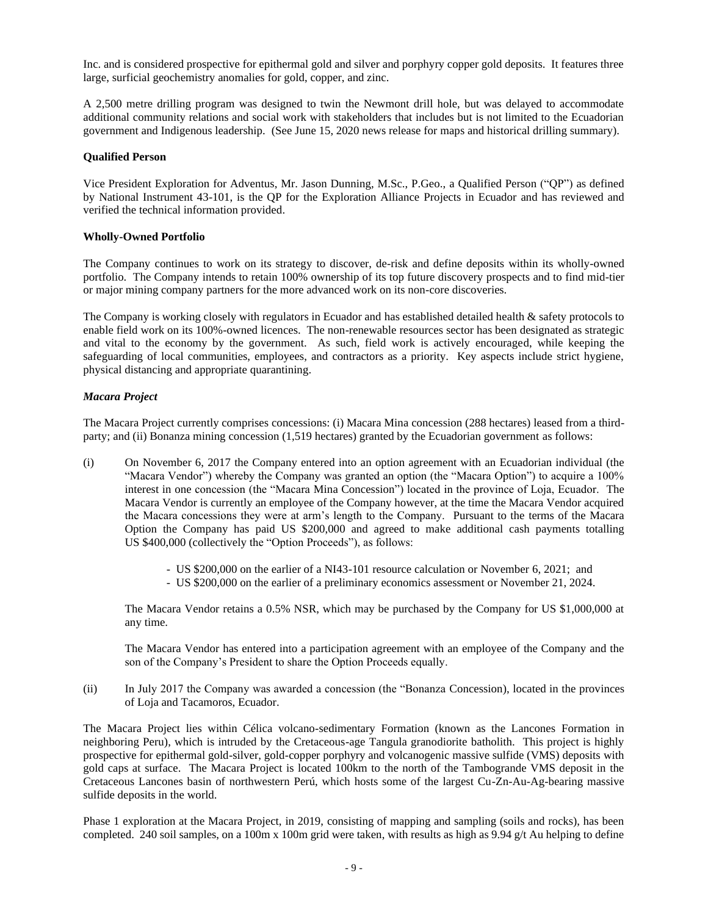Inc. and is considered prospective for epithermal gold and silver and porphyry copper gold deposits. It features three large, surficial geochemistry anomalies for gold, copper, and zinc.

A 2,500 metre drilling program was designed to twin the Newmont drill hole, but was delayed to accommodate additional community relations and social work with stakeholders that includes but is not limited to the Ecuadorian government and Indigenous leadership. (See June 15, 2020 news release for maps and historical drilling summary).

#### **Qualified Person**

Vice President Exploration for Adventus, Mr. Jason Dunning, M.Sc., P.Geo., a Qualified Person ("QP") as defined by National Instrument 43-101, is the QP for the Exploration Alliance Projects in Ecuador and has reviewed and verified the technical information provided.

#### **Wholly-Owned Portfolio**

The Company continues to work on its strategy to discover, de-risk and define deposits within its wholly-owned portfolio. The Company intends to retain 100% ownership of its top future discovery prospects and to find mid-tier or major mining company partners for the more advanced work on its non-core discoveries.

The Company is working closely with regulators in Ecuador and has established detailed health & safety protocols to enable field work on its 100%-owned licences. The non-renewable resources sector has been designated as strategic and vital to the economy by the government. As such, field work is actively encouraged, while keeping the safeguarding of local communities, employees, and contractors as a priority. Key aspects include strict hygiene, physical distancing and appropriate quarantining.

# *Macara Project*

The Macara Project currently comprises concessions: (i) Macara Mina concession (288 hectares) leased from a thirdparty; and (ii) Bonanza mining concession (1,519 hectares) granted by the Ecuadorian government as follows:

- (i) On November 6, 2017 the Company entered into an option agreement with an Ecuadorian individual (the "Macara Vendor") whereby the Company was granted an option (the "Macara Option") to acquire a 100% interest in one concession (the "Macara Mina Concession") located in the province of Loja, Ecuador. The Macara Vendor is currently an employee of the Company however, at the time the Macara Vendor acquired the Macara concessions they were at arm's length to the Company. Pursuant to the terms of the Macara Option the Company has paid US \$200,000 and agreed to make additional cash payments totalling US \$400,000 (collectively the "Option Proceeds"), as follows:
	- US \$200,000 on the earlier of a NI43-101 resource calculation or November 6, 2021; and
	- US \$200,000 on the earlier of a preliminary economics assessment or November 21, 2024.

The Macara Vendor retains a 0.5% NSR, which may be purchased by the Company for US \$1,000,000 at any time.

The Macara Vendor has entered into a participation agreement with an employee of the Company and the son of the Company's President to share the Option Proceeds equally.

(ii) In July 2017 the Company was awarded a concession (the "Bonanza Concession), located in the provinces of Loja and Tacamoros, Ecuador.

The Macara Project lies within Célica volcano-sedimentary Formation (known as the Lancones Formation in neighboring Peru), which is intruded by the Cretaceous-age Tangula granodiorite batholith. This project is highly prospective for epithermal gold-silver, gold-copper porphyry and volcanogenic massive sulfide (VMS) deposits with gold caps at surface. The Macara Project is located 100km to the north of the Tambogrande VMS deposit in the Cretaceous Lancones basin of northwestern Perú, which hosts some of the largest Cu-Zn-Au-Ag-bearing massive sulfide deposits in the world.

Phase 1 exploration at the Macara Project, in 2019, consisting of mapping and sampling (soils and rocks), has been completed. 240 soil samples, on a 100m x 100m grid were taken, with results as high as 9.94 g/t Au helping to define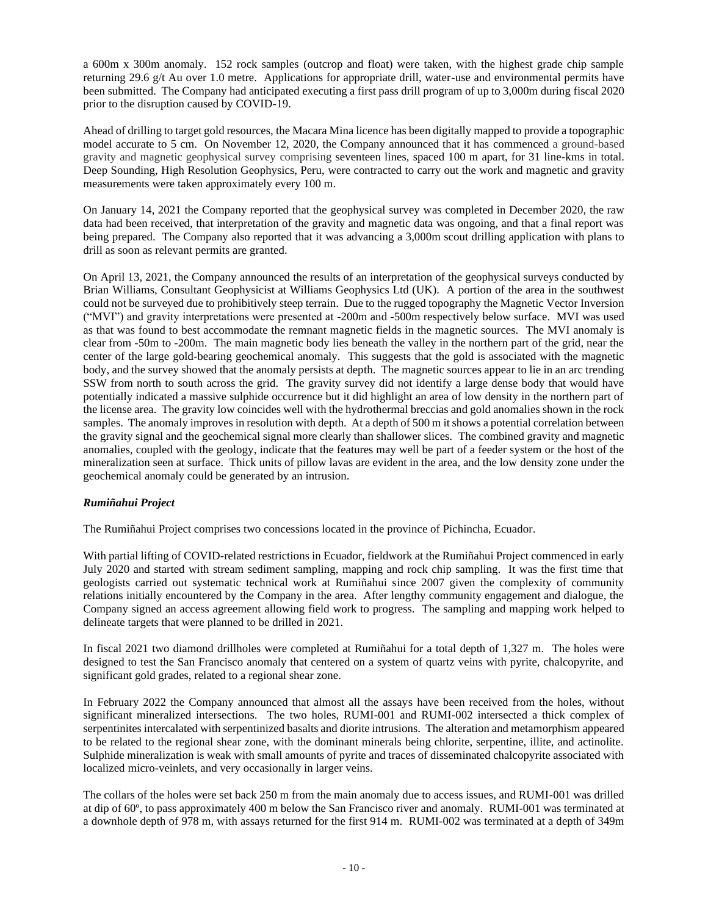a 600m x 300m anomaly. 152 rock samples (outcrop and float) were taken, with the highest grade chip sample returning 29.6 g/t Au over 1.0 metre. Applications for appropriate drill, water-use and environmental permits have been submitted. The Company had anticipated executing a first pass drill program of up to 3,000m during fiscal 2020 prior to the disruption caused by COVID-19.

Ahead of drilling to target gold resources, the Macara Mina licence has been digitally mapped to provide a topographic model accurate to 5 cm. On November 12, 2020, the Company announced that it has commenced a ground-based gravity and magnetic geophysical survey comprising seventeen lines, spaced 100 m apart, for 31 line-kms in total. Deep Sounding, High Resolution Geophysics, Peru, were contracted to carry out the work and magnetic and gravity measurements were taken approximately every 100 m.

On January 14, 2021 the Company reported that the geophysical survey was completed in December 2020, the raw data had been received, that interpretation of the gravity and magnetic data was ongoing, and that a final report was being prepared. The Company also reported that it was advancing a 3,000m scout drilling application with plans to drill as soon as relevant permits are granted.

On April 13, 2021, the Company announced the results of an interpretation of the geophysical surveys conducted by Brian Williams, Consultant Geophysicist at Williams Geophysics Ltd (UK). A portion of the area in the southwest could not be surveyed due to prohibitively steep terrain. Due to the rugged topography the Magnetic Vector Inversion ("MVI") and gravity interpretations were presented at -200m and -500m respectively below surface. MVI was used as that was found to best accommodate the remnant magnetic fields in the magnetic sources. The MVI anomaly is clear from -50m to -200m. The main magnetic body lies beneath the valley in the northern part of the grid, near the center of the large gold-bearing geochemical anomaly. This suggests that the gold is associated with the magnetic body, and the survey showed that the anomaly persists at depth. The magnetic sources appear to lie in an arc trending SSW from north to south across the grid. The gravity survey did not identify a large dense body that would have potentially indicated a massive sulphide occurrence but it did highlight an area of low density in the northern part of the license area. The gravity low coincides well with the hydrothermal breccias and gold anomalies shown in the rock samples. The anomaly improves in resolution with depth. At a depth of 500 m it shows a potential correlation between the gravity signal and the geochemical signal more clearly than shallower slices. The combined gravity and magnetic anomalies, coupled with the geology, indicate that the features may well be part of a feeder system or the host of the mineralization seen at surface. Thick units of pillow lavas are evident in the area, and the low density zone under the geochemical anomaly could be generated by an intrusion.

# *Rumiñahui Project*

The Rumiñahui Project comprises two concessions located in the province of Pichincha, Ecuador.

With partial lifting of COVID-related restrictions in Ecuador, fieldwork at the Rumiñahui Project commenced in early July 2020 and started with stream sediment sampling, mapping and rock chip sampling. It was the first time that geologists carried out systematic technical work at Rumiñahui since 2007 given the complexity of community relations initially encountered by the Company in the area. After lengthy community engagement and dialogue, the Company signed an access agreement allowing field work to progress. The sampling and mapping work helped to delineate targets that were planned to be drilled in 2021.

In fiscal 2021 two diamond drillholes were completed at Rumiñahui for a total depth of 1,327 m. The holes were designed to test the San Francisco anomaly that centered on a system of quartz veins with pyrite, chalcopyrite, and significant gold grades, related to a regional shear zone.

In February 2022 the Company announced that almost all the assays have been received from the holes, without significant mineralized intersections. The two holes, RUMI-001 and RUMI-002 intersected a thick complex of serpentinites intercalated with serpentinized basalts and diorite intrusions. The alteration and metamorphism appeared to be related to the regional shear zone, with the dominant minerals being chlorite, serpentine, illite, and actinolite. Sulphide mineralization is weak with small amounts of pyrite and traces of disseminated chalcopyrite associated with localized micro-veinlets, and very occasionally in larger veins.

The collars of the holes were set back 250 m from the main anomaly due to access issues, and RUMI-001 was drilled at dip of 60º, to pass approximately 400 m below the San Francisco river and anomaly. RUMI-001 was terminated at a downhole depth of 978 m, with assays returned for the first 914 m. RUMI-002 was terminated at a depth of 349m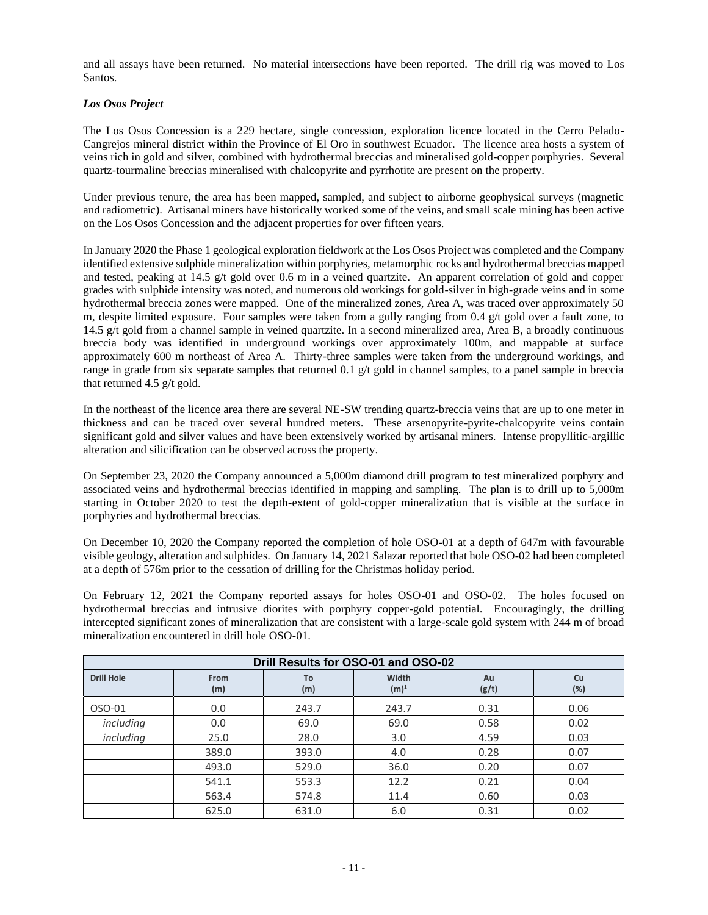and all assays have been returned. No material intersections have been reported. The drill rig was moved to Los Santos.

# *Los Osos Project*

The Los Osos Concession is a 229 hectare, single concession, exploration licence located in the Cerro Pelado-Cangrejos mineral district within the Province of El Oro in southwest Ecuador. The licence area hosts a system of veins rich in gold and silver, combined with hydrothermal breccias and mineralised gold-copper porphyries. Several quartz-tourmaline breccias mineralised with chalcopyrite and pyrrhotite are present on the property.

Under previous tenure, the area has been mapped, sampled, and subject to airborne geophysical surveys (magnetic and radiometric). Artisanal miners have historically worked some of the veins, and small scale mining has been active on the Los Osos Concession and the adjacent properties for over fifteen years.

In January 2020 the Phase 1 geological exploration fieldwork at the Los Osos Project was completed and the Company identified extensive sulphide mineralization within porphyries, metamorphic rocks and hydrothermal breccias mapped and tested, peaking at 14.5 g/t gold over 0.6 m in a veined quartzite. An apparent correlation of gold and copper grades with sulphide intensity was noted, and numerous old workings for gold-silver in high-grade veins and in some hydrothermal breccia zones were mapped. One of the mineralized zones, Area A, was traced over approximately 50 m, despite limited exposure. Four samples were taken from a gully ranging from  $0.4$  g/t gold over a fault zone, to 14.5 g/t gold from a channel sample in veined quartzite. In a second mineralized area, Area B, a broadly continuous breccia body was identified in underground workings over approximately 100m, and mappable at surface approximately 600 m northeast of Area A. Thirty-three samples were taken from the underground workings, and range in grade from six separate samples that returned 0.1  $g/t$  gold in channel samples, to a panel sample in breccia that returned 4.5 g/t gold.

In the northeast of the licence area there are several NE-SW trending quartz-breccia veins that are up to one meter in thickness and can be traced over several hundred meters. These arsenopyrite-pyrite-chalcopyrite veins contain significant gold and silver values and have been extensively worked by artisanal miners. Intense propyllitic-argillic alteration and silicification can be observed across the property.

On September 23, 2020 the Company announced a 5,000m diamond drill program to test mineralized porphyry and associated veins and hydrothermal breccias identified in mapping and sampling. The plan is to drill up to 5,000m starting in October 2020 to test the depth-extent of gold-copper mineralization that is visible at the surface in porphyries and hydrothermal breccias.

On December 10, 2020 the Company reported the completion of hole OSO-01 at a depth of 647m with favourable visible geology, alteration and sulphides. On January 14, 2021 Salazar reported that hole OSO-02 had been completed at a depth of 576m prior to the cessation of drilling for the Christmas holiday period.

On February 12, 2021 the Company reported assays for holes OSO-01 and OSO-02. The holes focused on hydrothermal breccias and intrusive diorites with porphyry copper-gold potential. Encouragingly, the drilling intercepted significant zones of mineralization that are consistent with a large-scale gold system with 244 m of broad mineralization encountered in drill hole OSO-01.

| Drill Results for OSO-01 and OSO-02 |             |           |                  |             |                     |  |  |  |  |
|-------------------------------------|-------------|-----------|------------------|-------------|---------------------|--|--|--|--|
| <b>Drill Hole</b>                   | From<br>(m) | To<br>(m) | Width<br>$(m)^1$ | Au<br>(g/t) | <b>Cu</b><br>$(\%)$ |  |  |  |  |
| OSO-01                              | 0.0         | 243.7     | 243.7            | 0.31        | 0.06                |  |  |  |  |
| including                           | 0.0         | 69.0      | 69.0             | 0.58        | 0.02                |  |  |  |  |
| including                           | 25.0        | 28.0      | 3.0              | 4.59        | 0.03                |  |  |  |  |
|                                     | 389.0       | 393.0     | 4.0              | 0.28        | 0.07                |  |  |  |  |
|                                     | 493.0       | 529.0     | 36.0             | 0.20        | 0.07                |  |  |  |  |
|                                     | 541.1       | 553.3     | 12.2             | 0.21        | 0.04                |  |  |  |  |
|                                     | 563.4       | 574.8     | 11.4             | 0.60        | 0.03                |  |  |  |  |
|                                     | 625.0       | 631.0     | 6.0              | 0.31        | 0.02                |  |  |  |  |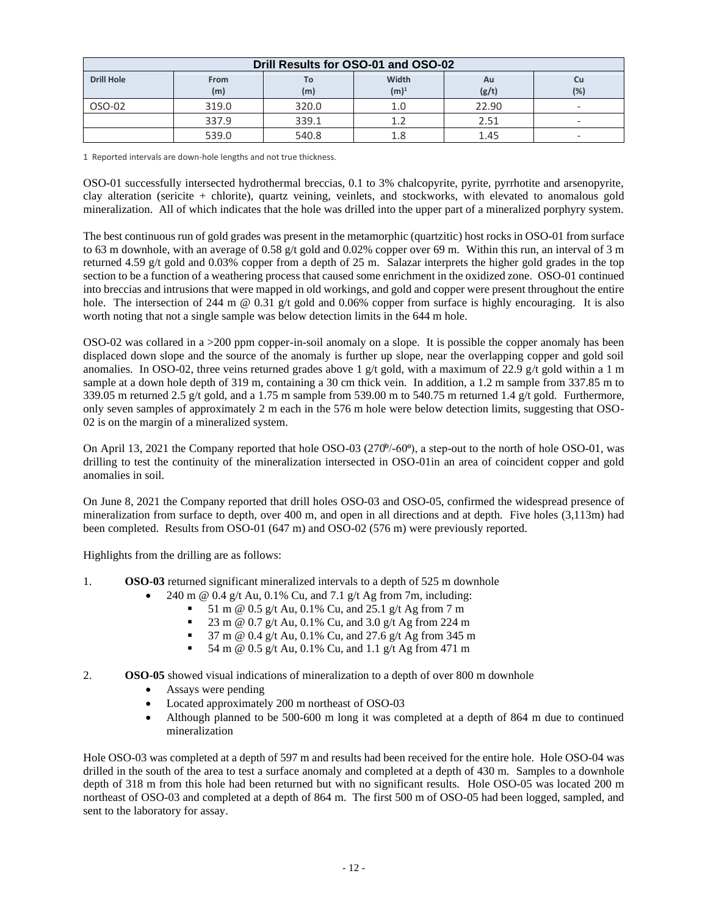| Drill Results for OSO-01 and OSO-02 |             |           |                  |             |           |  |  |  |  |
|-------------------------------------|-------------|-----------|------------------|-------------|-----------|--|--|--|--|
| <b>Drill Hole</b>                   | From<br>(m) | To<br>(m) | Width<br>$(m)^1$ | Au<br>(g/t) | Cu<br>(%) |  |  |  |  |
| OSO-02                              | 319.0       | 320.0     | 1.0              | 22.90       | -         |  |  |  |  |
|                                     | 337.9       | 339.1     |                  | 2.51        | -         |  |  |  |  |
|                                     | 539.0       | 540.8     | 1.8              | 1.45        | -         |  |  |  |  |

1 Reported intervals are down-hole lengths and not true thickness.

OSO-01 successfully intersected hydrothermal breccias, 0.1 to 3% chalcopyrite, pyrite, pyrrhotite and arsenopyrite, clay alteration (sericite + chlorite), quartz veining, veinlets, and stockworks, with elevated to anomalous gold mineralization. All of which indicates that the hole was drilled into the upper part of a mineralized porphyry system.

The best continuous run of gold grades was present in the metamorphic (quartzitic) host rocks in OSO-01 from surface to 63 m downhole, with an average of 0.58 g/t gold and 0.02% copper over 69 m. Within this run, an interval of 3 m returned 4.59 g/t gold and 0.03% copper from a depth of 25 m. Salazar interprets the higher gold grades in the top section to be a function of a weathering process that caused some enrichment in the oxidized zone. OSO-01 continued into breccias and intrusions that were mapped in old workings, and gold and copper were present throughout the entire hole. The intersection of 244 m @ 0.31 g/t gold and 0.06% copper from surface is highly encouraging. It is also worth noting that not a single sample was below detection limits in the 644 m hole.

OSO-02 was collared in a >200 ppm copper-in-soil anomaly on a slope. It is possible the copper anomaly has been displaced down slope and the source of the anomaly is further up slope, near the overlapping copper and gold soil anomalies. In OSO-02, three veins returned grades above 1 g/t gold, with a maximum of 22.9 g/t gold within a 1 m sample at a down hole depth of 319 m, containing a 30 cm thick vein. In addition, a 1.2 m sample from 337.85 m to 339.05 m returned 2.5 g/t gold, and a 1.75 m sample from 539.00 m to 540.75 m returned 1.4 g/t gold. Furthermore, only seven samples of approximately 2 m each in the 576 m hole were below detection limits, suggesting that OSO-02 is on the margin of a mineralized system.

On April 13, 2021 the Company reported that hole OSO-03 (270<sup> $\phi$ </sup>/-60<sup>o</sup>), a step-out to the north of hole OSO-01, was drilling to test the continuity of the mineralization intersected in OSO-01in an area of coincident copper and gold anomalies in soil.

On June 8, 2021 the Company reported that drill holes OSO-03 and OSO-05, confirmed the widespread presence of mineralization from surface to depth, over 400 m, and open in all directions and at depth. Five holes (3,113m) had been completed. Results from OSO-01 (647 m) and OSO-02 (576 m) were previously reported.

Highlights from the drilling are as follows:

- 1. **OSO-03** returned significant mineralized intervals to a depth of 525 m downhole
	- 240 m @ 0.4 g/t Au, 0.1% Cu, and 7.1 g/t Ag from 7m, including:
		- 51 m @ 0.5 g/t Au, 0.1% Cu, and 25.1 g/t Ag from 7 m
		- 23 m @  $0.7$  g/t Au, 0.1% Cu, and 3.0 g/t Ag from 224 m
		- 37 m @ 0.4 g/t Au, 0.1% Cu, and 27.6 g/t Ag from 345 m
		- 54 m @ 0.5 g/t Au, 0.1% Cu, and 1.1 g/t Ag from 471 m
- 2. **OSO-05** showed visual indications of mineralization to a depth of over 800 m downhole
	- Assays were pending
	- Located approximately 200 m northeast of OSO-03
	- Although planned to be 500-600 m long it was completed at a depth of 864 m due to continued mineralization

Hole OSO-03 was completed at a depth of 597 m and results had been received for the entire hole. Hole OSO-04 was drilled in the south of the area to test a surface anomaly and completed at a depth of 430 m. Samples to a downhole depth of 318 m from this hole had been returned but with no significant results. Hole OSO-05 was located 200 m northeast of OSO-03 and completed at a depth of 864 m. The first 500 m of OSO-05 had been logged, sampled, and sent to the laboratory for assay.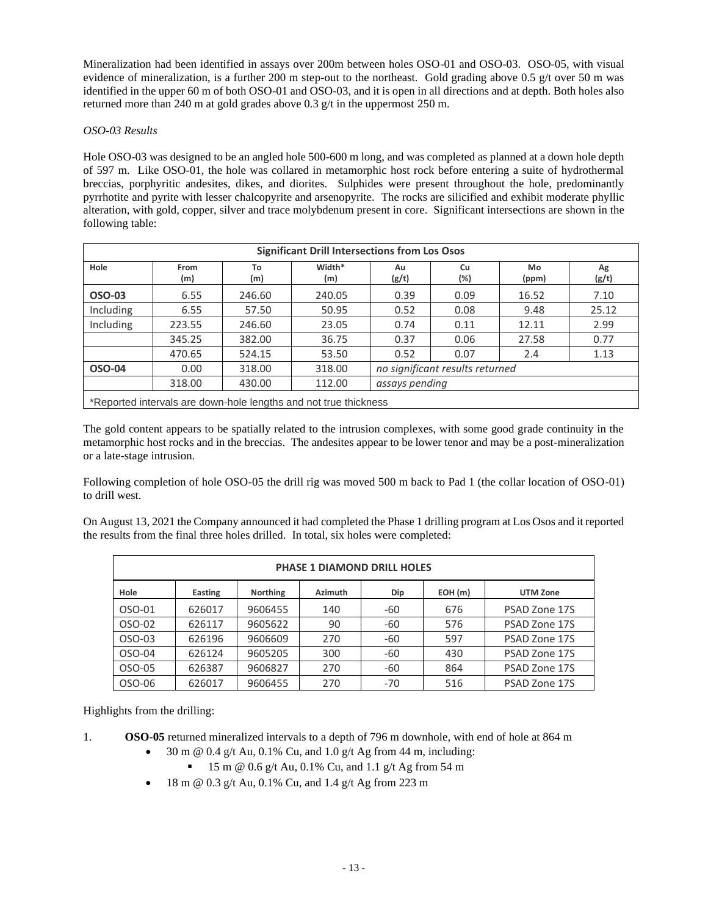Mineralization had been identified in assays over 200m between holes OSO-01 and OSO-03. OSO-05, with visual evidence of mineralization, is a further 200 m step-out to the northeast. Gold grading above 0.5  $g/t$  over 50 m was identified in the upper 60 m of both OSO-01 and OSO-03, and it is open in all directions and at depth. Both holes also returned more than 240 m at gold grades above 0.3 g/t in the uppermost 250 m.

# *OSO-03 Results*

Hole OSO-03 was designed to be an angled hole 500-600 m long, and was completed as planned at a down hole depth of 597 m. Like OSO-01, the hole was collared in metamorphic host rock before entering a suite of hydrothermal breccias, porphyritic andesites, dikes, and diorites. Sulphides were present throughout the hole, predominantly pyrrhotite and pyrite with lesser chalcopyrite and arsenopyrite. The rocks are silicified and exhibit moderate phyllic alteration, with gold, copper, silver and trace molybdenum present in core. Significant intersections are shown in the following table:

| <b>Significant Drill Intersections from Los Osos</b> |             |           |               |                |                                 |             |             |  |  |  |
|------------------------------------------------------|-------------|-----------|---------------|----------------|---------------------------------|-------------|-------------|--|--|--|
| Hole                                                 | From<br>(m) | To<br>(m) | Width*<br>(m) | Au<br>(g/t)    | Cu<br>(%)                       | Mo<br>(ppm) | Ag<br>(g/t) |  |  |  |
| <b>OSO-03</b>                                        | 6.55        | 246.60    | 240.05        | 0.39           | 0.09                            | 16.52       | 7.10        |  |  |  |
| Including                                            | 6.55        | 57.50     | 50.95         | 0.52           | 0.08                            | 9.48        | 25.12       |  |  |  |
| Including                                            | 223.55      | 246.60    | 23.05         | 0.74           | 0.11                            | 12.11       | 2.99        |  |  |  |
|                                                      | 345.25      | 382.00    | 36.75         | 0.37           | 0.06                            | 27.58       | 0.77        |  |  |  |
|                                                      | 470.65      | 524.15    | 53.50         | 0.52           | 0.07                            | 2.4         | 1.13        |  |  |  |
| <b>OSO-04</b>                                        | 0.00        | 318.00    | 318.00        |                | no significant results returned |             |             |  |  |  |
|                                                      | 318.00      | 430.00    | 112.00        | assays pending |                                 |             |             |  |  |  |

\*Reported intervals are down-hole lengths and not true thickness

The gold content appears to be spatially related to the intrusion complexes, with some good grade continuity in the metamorphic host rocks and in the breccias. The andesites appear to be lower tenor and may be a post-mineralization or a late-stage intrusion.

Following completion of hole OSO-05 the drill rig was moved 500 m back to Pad 1 (the collar location of OSO-01) to drill west.

On August 13, 2021 the Company announced it had completed the Phase 1 drilling program at Los Osos and it reported the results from the final three holes drilled. In total, six holes were completed:

| <b>PHASE 1 DIAMOND DRILL HOLES</b> |         |          |                |            |         |               |  |  |  |
|------------------------------------|---------|----------|----------------|------------|---------|---------------|--|--|--|
| Hole                               | Easting | Northing | <b>Azimuth</b> | <b>Dip</b> | EOH (m) | UTM Zone      |  |  |  |
| OSO-01                             | 626017  | 9606455  | 140            | -60        | 676     | PSAD Zone 17S |  |  |  |
| OSO-02                             | 626117  | 9605622  | 90             | -60        | 576     | PSAD Zone 17S |  |  |  |
| OSO-03                             | 626196  | 9606609  | 270            | -60        | 597     | PSAD Zone 17S |  |  |  |
| OSO-04                             | 626124  | 9605205  | 300            | -60        | 430     | PSAD Zone 17S |  |  |  |
| OSO-05                             | 626387  | 9606827  | 270            | -60        | 864     | PSAD Zone 17S |  |  |  |
| OSO-06                             | 626017  | 9606455  | 270            | $-70$      | 516     | PSAD Zone 17S |  |  |  |

Highlights from the drilling:

- 1. **OSO-05** returned mineralized intervals to a depth of 796 m downhole, with end of hole at 864 m
	- 30 m  $\omega$  0.4 g/t Au, 0.1% Cu, and 1.0 g/t Ag from 44 m, including:
		- 15 m @ 0.6 g/t Au, 0.1% Cu, and 1.1 g/t Ag from 54 m
	- 18 m @ 0.3 g/t Au, 0.1% Cu, and 1.4 g/t Ag from 223 m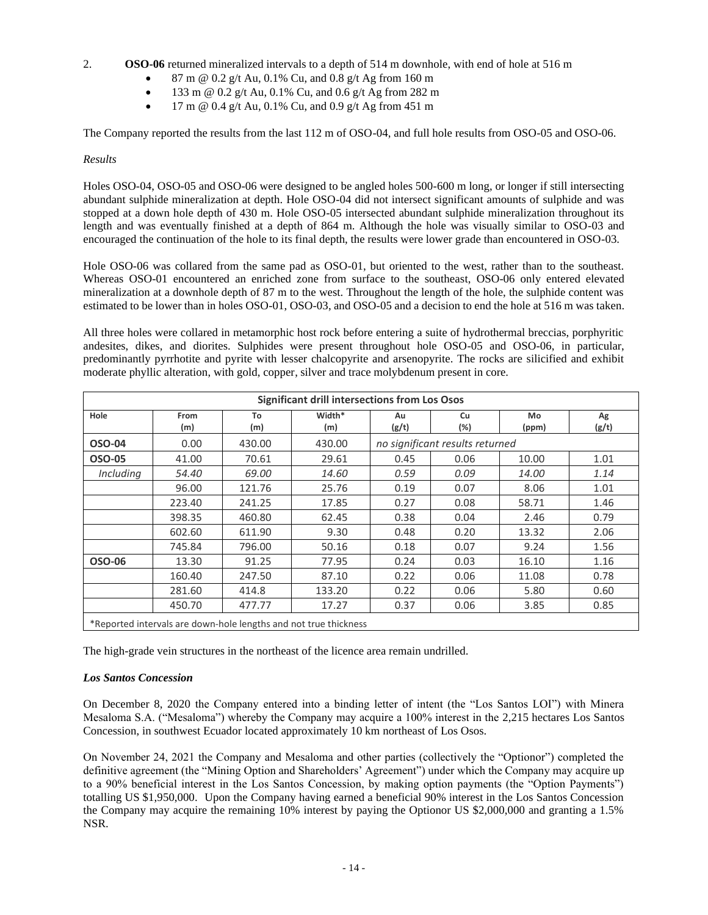- 2. **OSO-06** returned mineralized intervals to a depth of 514 m downhole, with end of hole at 516 m
	- 87 m @ 0.2 g/t Au, 0.1% Cu, and 0.8 g/t Ag from 160 m
	- 133 m @ 0.2 g/t Au, 0.1% Cu, and 0.6 g/t Ag from 282 m
	- 17 m @ 0.4 g/t Au, 0.1% Cu, and 0.9 g/t Ag from 451 m

The Company reported the results from the last 112 m of OSO-04, and full hole results from OSO-05 and OSO-06.

#### *Results*

Holes OSO-04, OSO-05 and OSO-06 were designed to be angled holes 500-600 m long, or longer if still intersecting abundant sulphide mineralization at depth. Hole OSO-04 did not intersect significant amounts of sulphide and was stopped at a down hole depth of 430 m. Hole OSO-05 intersected abundant sulphide mineralization throughout its length and was eventually finished at a depth of 864 m. Although the hole was visually similar to OSO-03 and encouraged the continuation of the hole to its final depth, the results were lower grade than encountered in OSO-03.

Hole OSO-06 was collared from the same pad as OSO-01, but oriented to the west, rather than to the southeast. Whereas OSO-01 encountered an enriched zone from surface to the southeast, OSO-06 only entered elevated mineralization at a downhole depth of 87 m to the west. Throughout the length of the hole, the sulphide content was estimated to be lower than in holes OSO-01, OSO-03, and OSO-05 and a decision to end the hole at 516 m was taken.

All three holes were collared in metamorphic host rock before entering a suite of hydrothermal breccias, porphyritic andesites, dikes, and diorites. Sulphides were present throughout hole OSO-05 and OSO-06, in particular, predominantly pyrrhotite and pyrite with lesser chalcopyrite and arsenopyrite. The rocks are silicified and exhibit moderate phyllic alteration, with gold, copper, silver and trace molybdenum present in core.

| <b>Significant drill intersections from Los Osos</b> |                                                                   |           |               |             |                                 |              |             |  |  |
|------------------------------------------------------|-------------------------------------------------------------------|-----------|---------------|-------------|---------------------------------|--------------|-------------|--|--|
| Hole                                                 | From<br>(m)                                                       | To<br>(m) | Width*<br>(m) | Au<br>(g/t) | Cu<br>$(\%)$                    | Mo<br>(ppm)  | Ag<br>(g/t) |  |  |
| <b>OSO-04</b>                                        | 0.00                                                              | 430.00    | 430.00        |             | no significant results returned |              |             |  |  |
| <b>OSO-05</b>                                        | 41.00                                                             | 70.61     | 29.61         | 0.45        | 0.06                            | 10.00        | 1.01        |  |  |
| Including                                            | 54.40                                                             | 69.00     | 14.60         | 0.59        | 0.09                            | <i>14.00</i> | 1.14        |  |  |
|                                                      | 96.00                                                             | 121.76    | 25.76         | 0.19        | 0.07                            | 8.06         | 1.01        |  |  |
|                                                      | 223.40                                                            | 241.25    | 17.85         | 0.27        | 0.08                            | 58.71        | 1.46        |  |  |
|                                                      | 398.35                                                            | 460.80    | 62.45         | 0.38        | 0.04                            | 2.46         | 0.79        |  |  |
|                                                      | 602.60                                                            | 611.90    | 9.30          | 0.48        | 0.20                            | 13.32        | 2.06        |  |  |
|                                                      | 745.84                                                            | 796.00    | 50.16         | 0.18        | 0.07                            | 9.24         | 1.56        |  |  |
| OSO-06                                               | 13.30                                                             | 91.25     | 77.95         | 0.24        | 0.03                            | 16.10        | 1.16        |  |  |
|                                                      | 160.40                                                            | 247.50    | 87.10         | 0.22        | 0.06                            | 11.08        | 0.78        |  |  |
|                                                      | 281.60                                                            | 414.8     | 133.20        | 0.22        | 0.06                            | 5.80         | 0.60        |  |  |
|                                                      | 450.70                                                            | 477.77    | 17.27         | 0.37        | 0.06                            | 3.85         | 0.85        |  |  |
|                                                      | *Ponerted intervals are down hole lengths and not true this kness |           |               |             |                                 |              |             |  |  |

\*Reported intervals are down-hole lengths and not true thickness

The high-grade vein structures in the northeast of the licence area remain undrilled.

# *Los Santos Concession*

On December 8, 2020 the Company entered into a binding letter of intent (the "Los Santos LOI") with Minera Mesaloma S.A. ("Mesaloma") whereby the Company may acquire a 100% interest in the 2,215 hectares Los Santos Concession, in southwest Ecuador located approximately 10 km northeast of Los Osos.

On November 24, 2021 the Company and Mesaloma and other parties (collectively the "Optionor") completed the definitive agreement (the "Mining Option and Shareholders' Agreement") under which the Company may acquire up to a 90% beneficial interest in the Los Santos Concession, by making option payments (the "Option Payments") totalling US \$1,950,000. Upon the Company having earned a beneficial 90% interest in the Los Santos Concession the Company may acquire the remaining 10% interest by paying the Optionor US \$2,000,000 and granting a 1.5% NSR.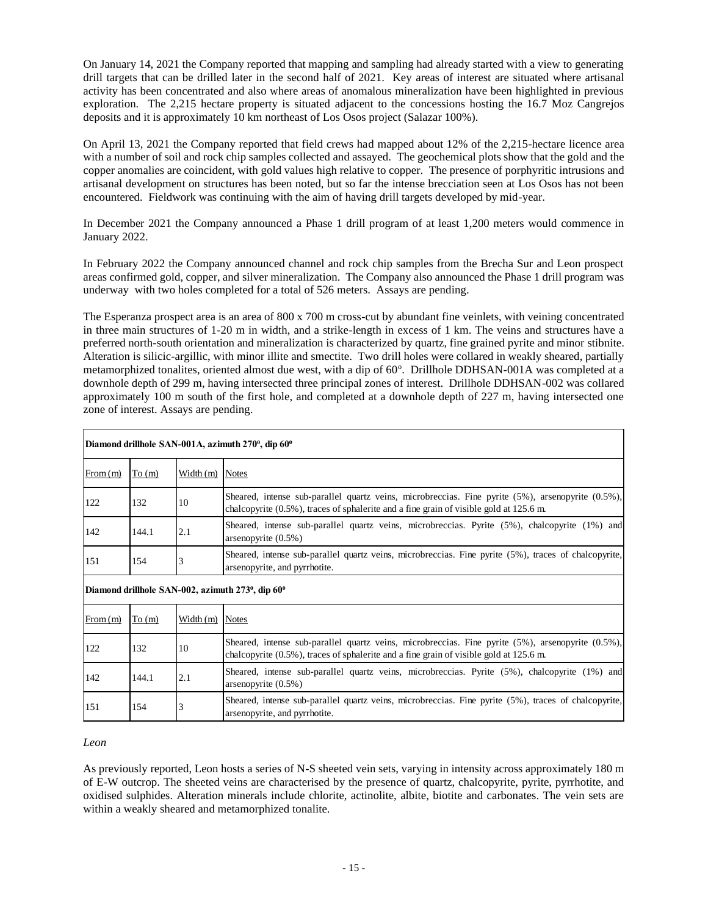On January 14, 2021 the Company reported that mapping and sampling had already started with a view to generating drill targets that can be drilled later in the second half of 2021. Key areas of interest are situated where artisanal activity has been concentrated and also where areas of anomalous mineralization have been highlighted in previous exploration. The 2,215 hectare property is situated adjacent to the concessions hosting the 16.7 Moz Cangrejos deposits and it is approximately 10 km northeast of Los Osos project (Salazar 100%).

On April 13, 2021 the Company reported that field crews had mapped about 12% of the 2,215-hectare licence area with a number of soil and rock chip samples collected and assayed. The geochemical plots show that the gold and the copper anomalies are coincident, with gold values high relative to copper. The presence of porphyritic intrusions and artisanal development on structures has been noted, but so far the intense brecciation seen at Los Osos has not been encountered. Fieldwork was continuing with the aim of having drill targets developed by mid-year.

In December 2021 the Company announced a Phase 1 drill program of at least 1,200 meters would commence in January 2022.

In February 2022 the Company announced channel and rock chip samples from the Brecha Sur and Leon prospect areas confirmed gold, copper, and silver mineralization. The Company also announced the Phase 1 drill program was underway with two holes completed for a total of 526 meters. Assays are pending.

The Esperanza prospect area is an area of 800 x 700 m cross-cut by abundant fine veinlets, with veining concentrated in three main structures of 1-20 m in width, and a strike-length in excess of 1 km. The veins and structures have a preferred north-south orientation and mineralization is characterized by quartz, fine grained pyrite and minor stibnite. Alteration is silicic-argillic, with minor illite and smectite. Two drill holes were collared in weakly sheared, partially metamorphized tonalites, oriented almost due west, with a dip of 60°. Drillhole DDHSAN-001A was completed at a downhole depth of 299 m, having intersected three principal zones of interest. Drillhole DDHSAN-002 was collared approximately 100 m south of the first hole, and completed at a downhole depth of 227 m, having intersected one zone of interest. Assays are pending.

| Diamond drillhole SAN-001A, azimuth 270 <sup>o</sup> , dip 60 <sup>o</sup> |       |                   |                                                                                                                                                                                                         |  |  |  |
|----------------------------------------------------------------------------|-------|-------------------|---------------------------------------------------------------------------------------------------------------------------------------------------------------------------------------------------------|--|--|--|
| From (m)                                                                   | To(m) | Width $(m)$ Notes |                                                                                                                                                                                                         |  |  |  |
| 122                                                                        | 132   | 10                | Sheared, intense sub-parallel quartz veins, microbreccias. Fine pyrite $(5\%)$ , arsenopyrite $(0.5\%)$ ,<br>chalcopyrite $(0.5\%)$ , traces of sphalerite and a fine grain of visible gold at 125.6 m. |  |  |  |
| 142                                                                        | 144.1 | 2.1               | Sheared, intense sub-parallel quartz veins, microbreccias. Pyrite (5%), chalcopyrite (1%) and<br>arsenopyrite $(0.5\%)$                                                                                 |  |  |  |
| 151                                                                        | 154   |                   | Sheared, intense sub-parallel quartz veins, microbreccias. Fine pyrite (5%), traces of chalcopyrite,<br>arsenopyrite, and pyrrhotite.                                                                   |  |  |  |
|                                                                            |       |                   |                                                                                                                                                                                                         |  |  |  |

**Diamond drillhole SAN-002, azimuth 273⁰, dip 60⁰**

| From (m) | To(m) | Width $(m)$ | <b>Notes</b>                                                                                                                                                                                            |
|----------|-------|-------------|---------------------------------------------------------------------------------------------------------------------------------------------------------------------------------------------------------|
| 122      | 132   | 10          | Sheared, intense sub-parallel quartz veins, microbreccias. Fine pyrite $(5\%)$ , arsenopyrite $(0.5\%)$ ,<br>chalcopyrite $(0.5\%)$ , traces of sphalerite and a fine grain of visible gold at 125.6 m. |
| 142      | 144.1 | 2.1         | Sheared, intense sub-parallel quartz veins, microbreccias. Pyrite (5%), chalcopyrite (1%) and<br>arsenopyrite $(0.5\%)$                                                                                 |
| 151      | 154   |             | Sheared, intense sub-parallel quartz veins, microbreccias. Fine pyrite (5%), traces of chalcopyrite,<br>arsenopyrite, and pyrrhotite.                                                                   |

*Leon*

As previously reported, Leon hosts a series of N-S sheeted vein sets, varying in intensity across approximately 180 m of E-W outcrop. The sheeted veins are characterised by the presence of quartz, chalcopyrite, pyrite, pyrrhotite, and oxidised sulphides. Alteration minerals include chlorite, actinolite, albite, biotite and carbonates. The vein sets are within a weakly sheared and metamorphized tonalite.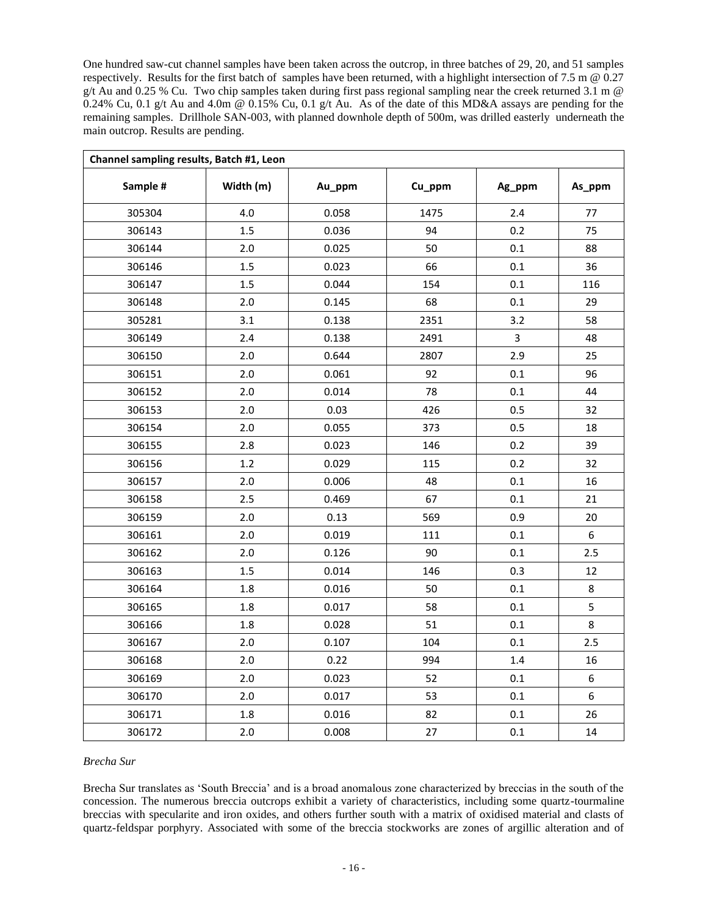One hundred saw-cut channel samples have been taken across the outcrop, in three batches of 29, 20, and 51 samples respectively. Results for the first batch of samples have been returned, with a highlight intersection of 7.5 m @ 0.27  $g/t$  Au and 0.25 % Cu. Two chip samples taken during first pass regional sampling near the creek returned 3.1 m  $\omega$ 0.24% Cu, 0.1 g/t Au and 4.0m @ 0.15% Cu, 0.1 g/t Au. As of the date of this MD&A assays are pending for the remaining samples. Drillhole SAN-003, with planned downhole depth of 500m, was drilled easterly underneath the main outcrop. Results are pending.

| Channel sampling results, Batch #1, Leon |           |        |        |        |        |  |  |  |
|------------------------------------------|-----------|--------|--------|--------|--------|--|--|--|
| Sample #                                 | Width (m) | Au_ppm | Cu_ppm | Ag_ppm | As_ppm |  |  |  |
| 305304                                   | 4.0       | 0.058  | 1475   | 2.4    | 77     |  |  |  |
| 306143                                   | 1.5       | 0.036  | 94     | 0.2    | 75     |  |  |  |
| 306144                                   | 2.0       | 0.025  | 50     | 0.1    | 88     |  |  |  |
| 306146                                   | 1.5       | 0.023  | 66     | 0.1    | 36     |  |  |  |
| 306147                                   | 1.5       | 0.044  | 154    | 0.1    | 116    |  |  |  |
| 306148                                   | 2.0       | 0.145  | 68     | 0.1    | 29     |  |  |  |
| 305281                                   | 3.1       | 0.138  | 2351   | 3.2    | 58     |  |  |  |
| 306149                                   | 2.4       | 0.138  | 2491   | 3      | 48     |  |  |  |
| 306150                                   | 2.0       | 0.644  | 2807   | 2.9    | 25     |  |  |  |
| 306151                                   | 2.0       | 0.061  | 92     | 0.1    | 96     |  |  |  |
| 306152                                   | 2.0       | 0.014  | 78     | 0.1    | 44     |  |  |  |
| 306153                                   | 2.0       | 0.03   | 426    | 0.5    | 32     |  |  |  |
| 306154                                   | 2.0       | 0.055  | 373    | 0.5    | 18     |  |  |  |
| 306155                                   | 2.8       | 0.023  | 146    | 0.2    | 39     |  |  |  |
| 306156                                   | 1.2       | 0.029  | 115    | 0.2    | 32     |  |  |  |
| 306157                                   | 2.0       | 0.006  | 48     | 0.1    | 16     |  |  |  |
| 306158                                   | 2.5       | 0.469  | 67     | 0.1    | 21     |  |  |  |
| 306159                                   | 2.0       | 0.13   | 569    | 0.9    | 20     |  |  |  |
| 306161                                   | 2.0       | 0.019  | 111    | 0.1    | 6      |  |  |  |
| 306162                                   | 2.0       | 0.126  | 90     | 0.1    | 2.5    |  |  |  |
| 306163                                   | $1.5\,$   | 0.014  | 146    | 0.3    | 12     |  |  |  |
| 306164                                   | 1.8       | 0.016  | 50     | 0.1    | 8      |  |  |  |
| 306165                                   | 1.8       | 0.017  | 58     | 0.1    | 5      |  |  |  |
| 306166                                   | 1.8       | 0.028  | 51     | 0.1    | 8      |  |  |  |
| 306167                                   | 2.0       | 0.107  | 104    | 0.1    | 2.5    |  |  |  |
| 306168                                   | 2.0       | 0.22   | 994    | 1.4    | 16     |  |  |  |
| 306169                                   | $2.0\,$   | 0.023  | 52     | 0.1    | 6      |  |  |  |
| 306170                                   | 2.0       | 0.017  | 53     | 0.1    | 6      |  |  |  |
| 306171                                   | $1.8\,$   | 0.016  | 82     | 0.1    | 26     |  |  |  |
| 306172                                   | 2.0       | 0.008  | 27     | 0.1    | 14     |  |  |  |

#### *Brecha Sur*

Brecha Sur translates as 'South Breccia' and is a broad anomalous zone characterized by breccias in the south of the concession. The numerous breccia outcrops exhibit a variety of characteristics, including some quartz-tourmaline breccias with specularite and iron oxides, and others further south with a matrix of oxidised material and clasts of quartz-feldspar porphyry. Associated with some of the breccia stockworks are zones of argillic alteration and of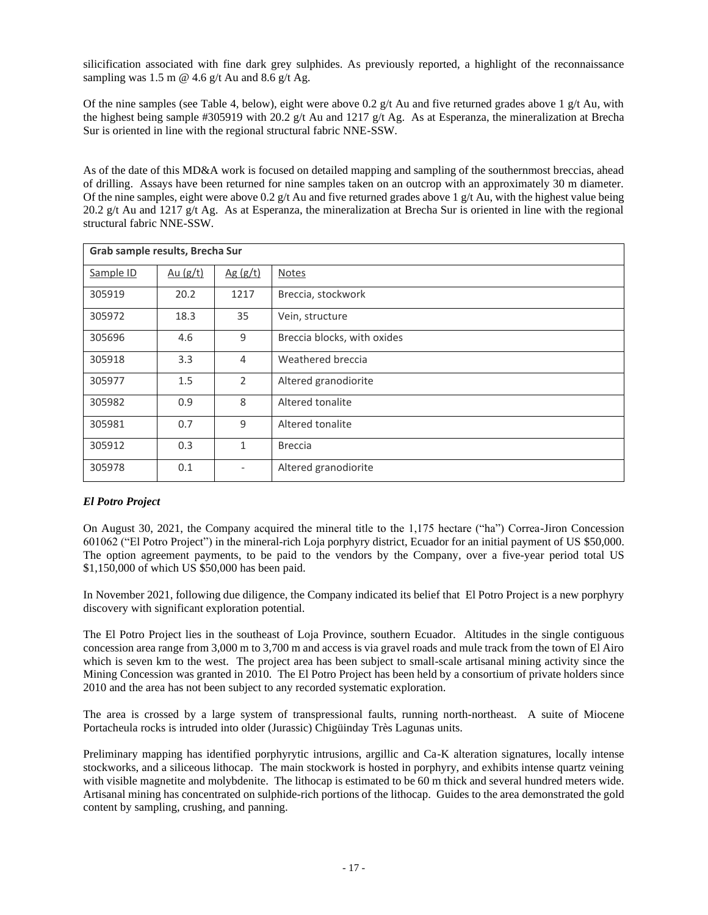silicification associated with fine dark grey sulphides. As previously reported, a highlight of the reconnaissance sampling was 1.5 m  $\omega$  4.6 g/t Au and 8.6 g/t Ag.

Of the nine samples (see Table 4, below), eight were above 0.2 g/t Au and five returned grades above 1 g/t Au, with the highest being sample #305919 with 20.2 g/t Au and 1217 g/t Ag. As at Esperanza, the mineralization at Brecha Sur is oriented in line with the regional structural fabric NNE-SSW.

As of the date of this MD&A work is focused on detailed mapping and sampling of the southernmost breccias, ahead of drilling. Assays have been returned for nine samples taken on an outcrop with an approximately 30 m diameter. Of the nine samples, eight were above 0.2 g/t Au and five returned grades above 1 g/t Au, with the highest value being 20.2 g/t Au and 1217 g/t Ag. As at Esperanza, the mineralization at Brecha Sur is oriented in line with the regional structural fabric NNE-SSW.

|           | Grab sample results, Brecha Sur |                          |                             |  |  |
|-----------|---------------------------------|--------------------------|-----------------------------|--|--|
| Sample ID | Au $(g/t)$                      | Ag(g/t)                  | Notes                       |  |  |
| 305919    | 20.2                            | 1217                     | Breccia, stockwork          |  |  |
| 305972    | 18.3                            | 35                       | Vein, structure             |  |  |
| 305696    | 4.6                             | 9                        | Breccia blocks, with oxides |  |  |
| 305918    | 3.3                             | 4                        | Weathered breccia           |  |  |
| 305977    | 1.5                             | $\overline{2}$           | Altered granodiorite        |  |  |
| 305982    | 0.9                             | 8                        | Altered tonalite            |  |  |
| 305981    | 0.7                             | 9                        | Altered tonalite            |  |  |
| 305912    | 0.3                             | 1                        | <b>Breccia</b>              |  |  |
| 305978    | 0.1                             | $\overline{\phantom{a}}$ | Altered granodiorite        |  |  |

# *El Potro Project*

On August 30, 2021, the Company acquired the mineral title to the 1,175 hectare ("ha") Correa-Jiron Concession 601062 ("El Potro Project") in the mineral-rich Loja porphyry district, Ecuador for an initial payment of US \$50,000. The option agreement payments, to be paid to the vendors by the Company, over a five-year period total US \$1,150,000 of which US \$50,000 has been paid.

In November 2021, following due diligence, the Company indicated its belief that El Potro Project is a new porphyry discovery with significant exploration potential.

The El Potro Project lies in the southeast of Loja Province, southern Ecuador. Altitudes in the single contiguous concession area range from 3,000 m to 3,700 m and access is via gravel roads and mule track from the town of El Airo which is seven km to the west. The project area has been subject to small-scale artisanal mining activity since the Mining Concession was granted in 2010. The El Potro Project has been held by a consortium of private holders since 2010 and the area has not been subject to any recorded systematic exploration.

The area is crossed by a large system of transpressional faults, running north-northeast. A suite of Miocene Portacheula rocks is intruded into older (Jurassic) Chigüinday Très Lagunas units.

Preliminary mapping has identified porphyrytic intrusions, argillic and Ca-K alteration signatures, locally intense stockworks, and a siliceous lithocap. The main stockwork is hosted in porphyry, and exhibits intense quartz veining with visible magnetite and molybdenite. The lithocap is estimated to be 60 m thick and several hundred meters wide. Artisanal mining has concentrated on sulphide-rich portions of the lithocap. Guides to the area demonstrated the gold content by sampling, crushing, and panning.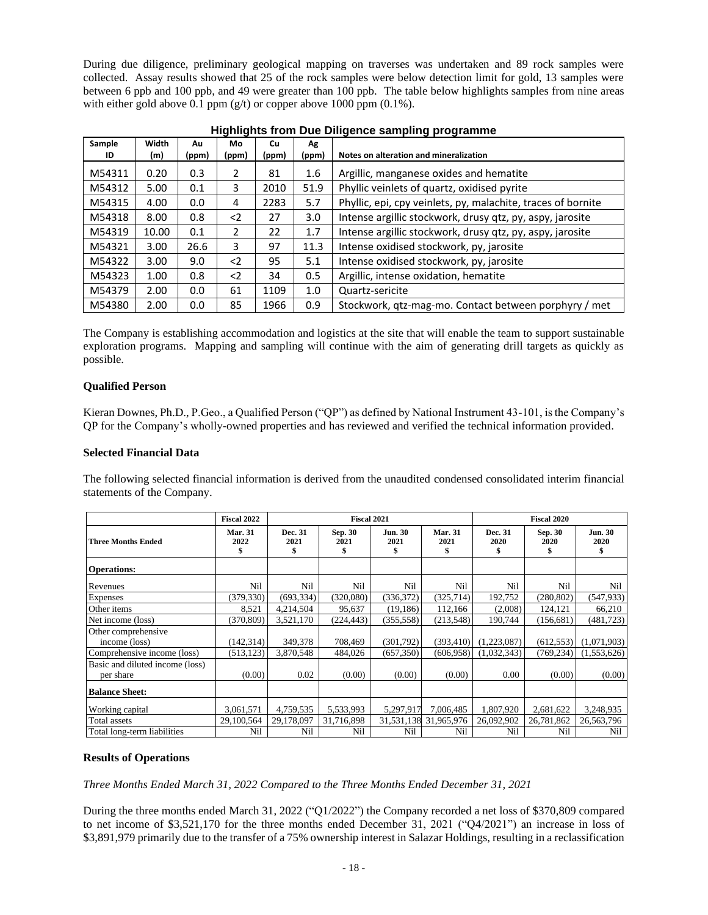During due diligence, preliminary geological mapping on traverses was undertaken and 89 rock samples were collected. Assay results showed that 25 of the rock samples were below detection limit for gold, 13 samples were between 6 ppb and 100 ppb, and 49 were greater than 100 ppb. The table below highlights samples from nine areas with either gold above 0.1 ppm  $(g/t)$  or copper above 1000 ppm  $(0.1\%)$ .

| Sample<br>ID | Width<br>(m) | Αu<br>(ppm) | Mo<br>(ppm) | Cu<br>(ppm) | Ag<br>(ppm) | Notes on alteration and mineralization                       |
|--------------|--------------|-------------|-------------|-------------|-------------|--------------------------------------------------------------|
| M54311       | 0.20         | 0.3         | 2           | 81          | 1.6         | Argillic, manganese oxides and hematite                      |
| M54312       | 5.00         | 0.1         | 3           | 2010        | 51.9        | Phyllic veinlets of quartz, oxidised pyrite                  |
| M54315       | 4.00         | 0.0         | 4           | 2283        | 5.7         | Phyllic, epi, cpy veinlets, py, malachite, traces of bornite |
| M54318       | 8.00         | 0.8         | $\langle$ 2 | 27          | 3.0         | Intense argillic stockwork, drusy qtz, py, aspy, jarosite    |
| M54319       | 10.00        | 0.1         | 2           | 22          | 1.7         | Intense argillic stockwork, drusy qtz, py, aspy, jarosite    |
| M54321       | 3.00         | 26.6        | 3           | 97          | 11.3        | Intense oxidised stockwork, py, jarosite                     |
| M54322       | 3.00         | 9.0         | $\langle$ 2 | 95          | 5.1         | Intense oxidised stockwork, py, jarosite                     |
| M54323       | 1.00         | 0.8         | $2$         | 34          | 0.5         | Argillic, intense oxidation, hematite                        |
| M54379       | 2.00         | 0.0         | 61          | 1109        | 1.0         | Quartz-sericite                                              |
| M54380       | 2.00         | 0.0         | 85          | 1966        | 0.9         | Stockwork, qtz-mag-mo. Contact between porphyry / met        |

### **Highlights from Due Diligence sampling programme**

The Company is establishing accommodation and logistics at the site that will enable the team to support sustainable exploration programs. Mapping and sampling will continue with the aim of generating drill targets as quickly as possible.

# **Qualified Person**

Kieran Downes, Ph.D., P.Geo., a Qualified Person ("QP") as defined by National Instrument 43-101, is the Company's QP for the Company's wholly-owned properties and has reviewed and verified the technical information provided.

### **Selected Financial Data**

The following selected financial information is derived from the unaudited condensed consolidated interim financial statements of the Company.

|                                              | Fiscal 2022            |                 | <b>Fiscal 2021</b>     |                        |                              | Fiscal 2020     |                 |                        |
|----------------------------------------------|------------------------|-----------------|------------------------|------------------------|------------------------------|-----------------|-----------------|------------------------|
| <b>Three Months Ended</b>                    | <b>Mar. 31</b><br>2022 | Dec. 31<br>2021 | <b>Sep. 30</b><br>2021 | <b>Jun. 30</b><br>2021 | <b>Mar. 31</b><br>2021<br>\$ | Dec. 31<br>2020 | Sep. 30<br>2020 | <b>Jun. 30</b><br>2020 |
| <b>Operations:</b>                           |                        |                 |                        |                        |                              |                 |                 |                        |
| Revenues                                     | Nil                    | Nil             | Nil                    | Nil                    | Nil                          | Nil             | Nil             | Nil                    |
| Expenses                                     | (379, 330)             | (693, 334)      | (320,080)              | (336,372)              | (325, 714)                   | 192,752         | (280, 802)      | (547, 933)             |
| Other items                                  | 8,521                  | 4,214,504       | 95,637                 | (19, 186)              | 112,166                      | (2,008)         | 124,121         | 66,210                 |
| Net income (loss)                            | (370, 809)             | 3,521,170       | (224, 443)             | (355, 558)             | (213,548)                    | 190,744         | (156, 681)      | (481, 723)             |
| Other comprehensive<br>income (loss)         | (142, 314)             | 349,378         | 708,469                | (301,792)              | (393, 410)                   | (1,223,087)     | (612, 553)      | (1,071,903)            |
| Comprehensive income (loss)                  | (513, 123)             | 3,870,548       | 484,026                | (657, 350)             | (606, 958)                   | (1,032,343)     | (769, 234)      | (1,553,626)            |
| Basic and diluted income (loss)<br>per share | (0.00)                 | 0.02            | (0.00)                 | (0.00)                 | (0.00)                       | 0.00            | (0.00)          | (0.00)                 |
| <b>Balance Sheet:</b>                        |                        |                 |                        |                        |                              |                 |                 |                        |
| Working capital                              | 3,061,571              | 4,759,535       | 5,533,993              | 5,297,917              | 7,006,485                    | 1,807,920       | 2,681,622       | 3,248,935              |
| Total assets                                 | 29,100,564             | 29,178,097      | 31,716,898             | 31,531,138             | 31,965,976                   | 26,092,902      | 26,781,862      | 26,563,796             |
| Total long-term liabilities                  | Nil                    | Nil             | Nil                    | Nil                    | Nil                          | Nil             | Nil             | Nil                    |

# **Results of Operations**

*Three Months Ended March 31, 2022 Compared to the Three Months Ended December 31, 2021*

During the three months ended March 31, 2022 ("Q1/2022") the Company recorded a net loss of \$370,809 compared to net income of \$3,521,170 for the three months ended December 31, 2021 ("Q4/2021") an increase in loss of \$3,891,979 primarily due to the transfer of a 75% ownership interest in Salazar Holdings, resulting in a reclassification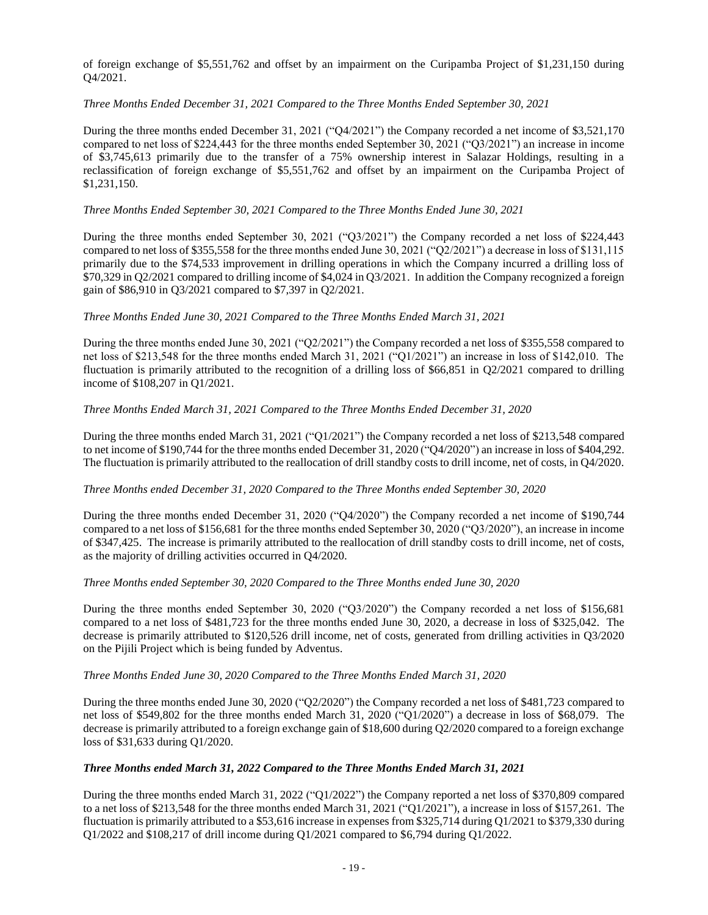of foreign exchange of \$5,551,762 and offset by an impairment on the Curipamba Project of \$1,231,150 during Q4/2021.

#### *Three Months Ended December 31, 2021 Compared to the Three Months Ended September 30, 2021*

During the three months ended December 31, 2021 ("Q4/2021") the Company recorded a net income of \$3,521,170 compared to net loss of \$224,443 for the three months ended September 30, 2021 ("Q3/2021") an increase in income of \$3,745,613 primarily due to the transfer of a 75% ownership interest in Salazar Holdings, resulting in a reclassification of foreign exchange of \$5,551,762 and offset by an impairment on the Curipamba Project of \$1,231,150.

### *Three Months Ended September 30, 2021 Compared to the Three Months Ended June 30, 2021*

During the three months ended September 30, 2021 ("Q3/2021") the Company recorded a net loss of \$224,443 compared to net loss of \$355,558 for the three months ended June 30, 2021 ("Q2/2021") a decrease in loss of \$131,115 primarily due to the \$74,533 improvement in drilling operations in which the Company incurred a drilling loss of \$70,329 in Q2/2021 compared to drilling income of \$4,024 in Q3/2021. In addition the Company recognized a foreign gain of \$86,910 in Q3/2021 compared to \$7,397 in Q2/2021.

#### *Three Months Ended June 30, 2021 Compared to the Three Months Ended March 31, 2021*

During the three months ended June 30, 2021 ("Q2/2021") the Company recorded a net loss of \$355,558 compared to net loss of \$213,548 for the three months ended March 31, 2021 ("Q1/2021") an increase in loss of \$142,010. The fluctuation is primarily attributed to the recognition of a drilling loss of \$66,851 in Q2/2021 compared to drilling income of \$108,207 in Q1/2021.

#### *Three Months Ended March 31, 2021 Compared to the Three Months Ended December 31, 2020*

During the three months ended March 31, 2021 ("Q1/2021") the Company recorded a net loss of \$213,548 compared to net income of \$190,744 for the three months ended December 31, 2020 ("Q4/2020") an increase in loss of \$404,292. The fluctuation is primarily attributed to the reallocation of drill standby costs to drill income, net of costs, in Q4/2020.

# *Three Months ended December 31, 2020 Compared to the Three Months ended September 30, 2020*

During the three months ended December 31, 2020 ("Q4/2020") the Company recorded a net income of \$190,744 compared to a net loss of \$156,681 for the three months ended September 30, 2020 ("Q3/2020"), an increase in income of \$347,425. The increase is primarily attributed to the reallocation of drill standby costs to drill income, net of costs, as the majority of drilling activities occurred in Q4/2020.

#### *Three Months ended September 30, 2020 Compared to the Three Months ended June 30, 2020*

During the three months ended September 30, 2020 ("Q3/2020") the Company recorded a net loss of \$156,681 compared to a net loss of \$481,723 for the three months ended June 30, 2020, a decrease in loss of \$325,042. The decrease is primarily attributed to \$120,526 drill income, net of costs, generated from drilling activities in Q3/2020 on the Pijili Project which is being funded by Adventus.

#### *Three Months Ended June 30, 2020 Compared to the Three Months Ended March 31, 2020*

During the three months ended June 30, 2020 ("Q2/2020") the Company recorded a net loss of \$481,723 compared to net loss of \$549,802 for the three months ended March 31, 2020 ("Q1/2020") a decrease in loss of \$68,079. The decrease is primarily attributed to a foreign exchange gain of \$18,600 during Q2/2020 compared to a foreign exchange loss of \$31,633 during Q1/2020.

#### *Three Months ended March 31, 2022 Compared to the Three Months Ended March 31, 2021*

During the three months ended March 31, 2022 ("Q1/2022") the Company reported a net loss of \$370,809 compared to a net loss of \$213,548 for the three months ended March 31, 2021 ("Q1/2021"), a increase in loss of \$157,261. The fluctuation is primarily attributed to a \$53,616 increase in expenses from \$325,714 during Q1/2021 to \$379,330 during Q1/2022 and \$108,217 of drill income during Q1/2021 compared to \$6,794 during Q1/2022.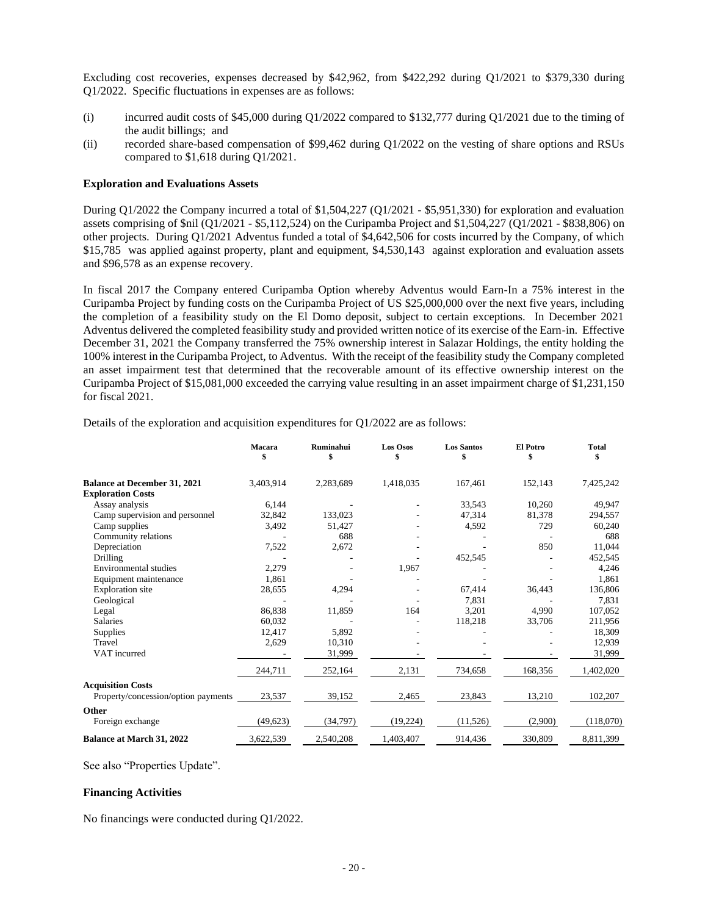Excluding cost recoveries, expenses decreased by \$42,962, from \$422,292 during Q1/2021 to \$379,330 during Q1/2022. Specific fluctuations in expenses are as follows:

- (i) incurred audit costs of \$45,000 during Q1/2022 compared to \$132,777 during Q1/2021 due to the timing of the audit billings; and
- (ii) recorded share-based compensation of \$99,462 during Q1/2022 on the vesting of share options and RSUs compared to \$1,618 during Q1/2021.

#### **Exploration and Evaluations Assets**

During Q1/2022 the Company incurred a total of \$1,504,227 (Q1/2021 - \$5,951,330) for exploration and evaluation assets comprising of \$nil (Q1/2021 - \$5,112,524) on the Curipamba Project and \$1,504,227 (Q1/2021 - \$838,806) on other projects. During Q1/2021 Adventus funded a total of \$4,642,506 for costs incurred by the Company, of which \$15,785 was applied against property, plant and equipment, \$4,530,143 against exploration and evaluation assets and \$96,578 as an expense recovery.

In fiscal 2017 the Company entered Curipamba Option whereby Adventus would Earn-In a 75% interest in the Curipamba Project by funding costs on the Curipamba Project of US \$25,000,000 over the next five years, including the completion of a feasibility study on the El Domo deposit, subject to certain exceptions. In December 2021 Adventus delivered the completed feasibility study and provided written notice of its exercise of the Earn-in. Effective December 31, 2021 the Company transferred the 75% ownership interest in Salazar Holdings, the entity holding the 100% interest in the Curipamba Project, to Adventus. With the receipt of the feasibility study the Company completed an asset impairment test that determined that the recoverable amount of its effective ownership interest on the Curipamba Project of \$15,081,000 exceeded the carrying value resulting in an asset impairment charge of \$1,231,150 for fiscal 2021.

|                                     | Macara    | Ruminahui | <b>Los Osos</b> | <b>Los Santos</b> | <b>El Potro</b> | <b>Total</b> |
|-------------------------------------|-----------|-----------|-----------------|-------------------|-----------------|--------------|
| <b>Balance at December 31, 2021</b> | 3,403,914 | 2,283,689 | 1,418,035       | 167,461           | 152,143         | 7,425,242    |
| <b>Exploration Costs</b>            |           |           |                 |                   |                 |              |
| Assay analysis                      | 6,144     |           |                 | 33,543            | 10,260          | 49,947       |
| Camp supervision and personnel      | 32,842    | 133,023   |                 | 47,314            | 81,378          | 294,557      |
| Camp supplies                       | 3,492     | 51,427    |                 | 4,592             | 729             | 60,240       |
| Community relations                 |           | 688       |                 |                   |                 | 688          |
| Depreciation                        | 7,522     | 2,672     |                 |                   | 850             | 11,044       |
| Drilling                            |           |           |                 | 452,545           |                 | 452,545      |
| Environmental studies               | 2,279     |           | 1,967           |                   |                 | 4,246        |
| Equipment maintenance               | 1,861     |           |                 |                   |                 | 1,861        |
| <b>Exploration</b> site             | 28,655    | 4,294     |                 | 67,414            | 36,443          | 136,806      |
| Geological                          |           |           |                 | 7,831             |                 | 7,831        |
| Legal                               | 86,838    | 11,859    | 164             | 3,201             | 4,990           | 107,052      |
| <b>Salaries</b>                     | 60.032    |           |                 | 118,218           | 33,706          | 211,956      |
| Supplies                            | 12,417    | 5,892     |                 |                   |                 | 18,309       |
| Travel                              | 2,629     | 10,310    |                 |                   |                 | 12,939       |
| VAT incurred                        |           | 31,999    |                 |                   |                 | 31,999       |
|                                     | 244,711   | 252,164   | 2,131           | 734,658           | 168,356         | 1,402,020    |
| <b>Acquisition Costs</b>            |           |           |                 |                   |                 |              |
| Property/concession/option payments | 23.537    | 39,152    | 2,465           | 23,843            | 13,210          | 102,207      |
| Other                               |           |           |                 |                   |                 |              |
| Foreign exchange                    | (49, 623) | (34, 797) | (19,224)        | (11,526)          | (2,900)         | (118,070)    |
| <b>Balance at March 31, 2022</b>    | 3,622,539 | 2,540,208 | 1,403,407       | 914,436           | 330,809         | 8,811,399    |

Details of the exploration and acquisition expenditures for Q1/2022 are as follows:

See also "Properties Update".

#### **Financing Activities**

No financings were conducted during Q1/2022.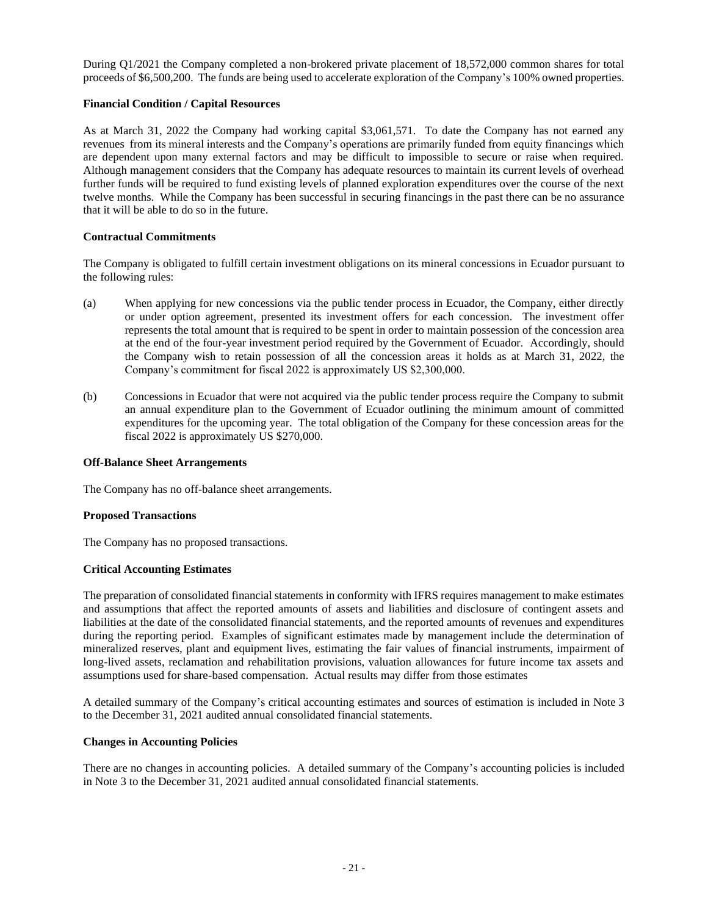During Q1/2021 the Company completed a non-brokered private placement of 18,572,000 common shares for total proceeds of \$6,500,200. The funds are being used to accelerate exploration of the Company's 100% owned properties.

# **Financial Condition / Capital Resources**

As at March 31, 2022 the Company had working capital \$3,061,571. To date the Company has not earned any revenues from its mineral interests and the Company's operations are primarily funded from equity financings which are dependent upon many external factors and may be difficult to impossible to secure or raise when required. Although management considers that the Company has adequate resources to maintain its current levels of overhead further funds will be required to fund existing levels of planned exploration expenditures over the course of the next twelve months. While the Company has been successful in securing financings in the past there can be no assurance that it will be able to do so in the future.

# **Contractual Commitments**

The Company is obligated to fulfill certain investment obligations on its mineral concessions in Ecuador pursuant to the following rules:

- (a) When applying for new concessions via the public tender process in Ecuador, the Company, either directly or under option agreement, presented its investment offers for each concession. The investment offer represents the total amount that is required to be spent in order to maintain possession of the concession area at the end of the four-year investment period required by the Government of Ecuador. Accordingly, should the Company wish to retain possession of all the concession areas it holds as at March 31, 2022, the Company's commitment for fiscal 2022 is approximately US \$2,300,000.
- (b) Concessions in Ecuador that were not acquired via the public tender process require the Company to submit an annual expenditure plan to the Government of Ecuador outlining the minimum amount of committed expenditures for the upcoming year. The total obligation of the Company for these concession areas for the fiscal 2022 is approximately US \$270,000.

# **Off-Balance Sheet Arrangements**

The Company has no off-balance sheet arrangements.

# **Proposed Transactions**

The Company has no proposed transactions.

# **Critical Accounting Estimates**

The preparation of consolidated financial statements in conformity with IFRS requires management to make estimates and assumptions that affect the reported amounts of assets and liabilities and disclosure of contingent assets and liabilities at the date of the consolidated financial statements, and the reported amounts of revenues and expenditures during the reporting period. Examples of significant estimates made by management include the determination of mineralized reserves, plant and equipment lives, estimating the fair values of financial instruments, impairment of long-lived assets, reclamation and rehabilitation provisions, valuation allowances for future income tax assets and assumptions used for share-based compensation. Actual results may differ from those estimates

A detailed summary of the Company's critical accounting estimates and sources of estimation is included in Note 3 to the December 31, 2021 audited annual consolidated financial statements.

# **Changes in Accounting Policies**

There are no changes in accounting policies. A detailed summary of the Company's accounting policies is included in Note 3 to the December 31, 2021 audited annual consolidated financial statements.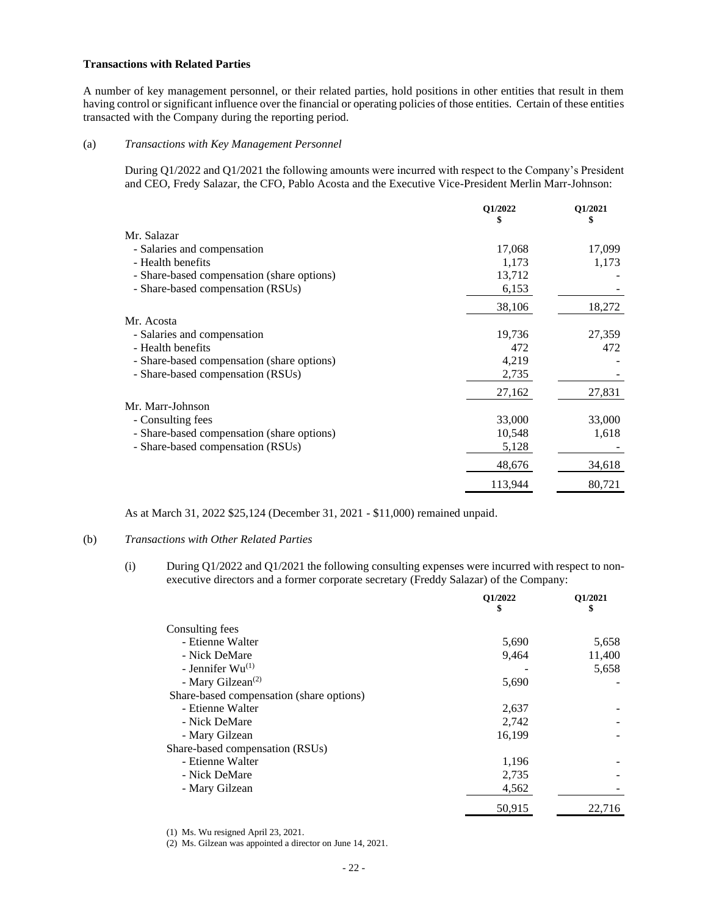#### **Transactions with Related Parties**

A number of key management personnel, or their related parties, hold positions in other entities that result in them having control or significant influence over the financial or operating policies of those entities. Certain of these entities transacted with the Company during the reporting period.

#### (a) *Transactions with Key Management Personnel*

During Q1/2022 and Q1/2021 the following amounts were incurred with respect to the Company's President and CEO, Fredy Salazar, the CFO, Pablo Acosta and the Executive Vice-President Merlin Marr-Johnson:

|                                            | Q1/2022 | Q1/2021<br>\$ |
|--------------------------------------------|---------|---------------|
| Mr. Salazar                                |         |               |
| - Salaries and compensation                | 17,068  | 17,099        |
| - Health benefits                          | 1,173   | 1,173         |
| - Share-based compensation (share options) | 13,712  |               |
| - Share-based compensation (RSUs)          | 6,153   |               |
|                                            | 38,106  | 18,272        |
| Mr. Acosta                                 |         |               |
| - Salaries and compensation                | 19,736  | 27,359        |
| - Health benefits                          | 472     | 472           |
| - Share-based compensation (share options) | 4,219   |               |
| - Share-based compensation (RSUs)          | 2,735   |               |
|                                            | 27,162  | 27,831        |
| Mr. Marr-Johnson                           |         |               |
| - Consulting fees                          | 33,000  | 33,000        |
| - Share-based compensation (share options) | 10,548  | 1,618         |
| - Share-based compensation (RSUs)          | 5,128   |               |
|                                            | 48,676  | 34,618        |
|                                            | 113,944 | 80,721        |
|                                            |         |               |

As at March 31, 2022 \$25,124 (December 31, 2021 - \$11,000) remained unpaid.

#### (b) *Transactions with Other Related Parties*

(i) During Q1/2022 and Q1/2021 the following consulting expenses were incurred with respect to nonexecutive directors and a former corporate secretary (Freddy Salazar) of the Company:

|                                          | O1/2022 | Q1/2021 |
|------------------------------------------|---------|---------|
|                                          | \$      | ж       |
| Consulting fees                          |         |         |
| - Etienne Walter                         | 5,690   | 5,658   |
| - Nick DeMare                            | 9,464   | 11,400  |
| - Jennifer $Wu^{(1)}$                    |         | 5,658   |
| - Mary Gilzean <sup>(2)</sup>            | 5,690   |         |
| Share-based compensation (share options) |         |         |
| - Etienne Walter                         | 2,637   |         |
| - Nick DeMare                            | 2,742   |         |
| - Mary Gilzean                           | 16,199  |         |
| Share-based compensation (RSUs)          |         |         |
| - Etienne Walter                         | 1,196   |         |
| - Nick DeMare                            | 2,735   |         |
| - Mary Gilzean                           | 4,562   |         |
|                                          | 50,915  | 22.716  |

(1) Ms. Wu resigned April 23, 2021.

(2) Ms. Gilzean was appointed a director on June 14, 2021.